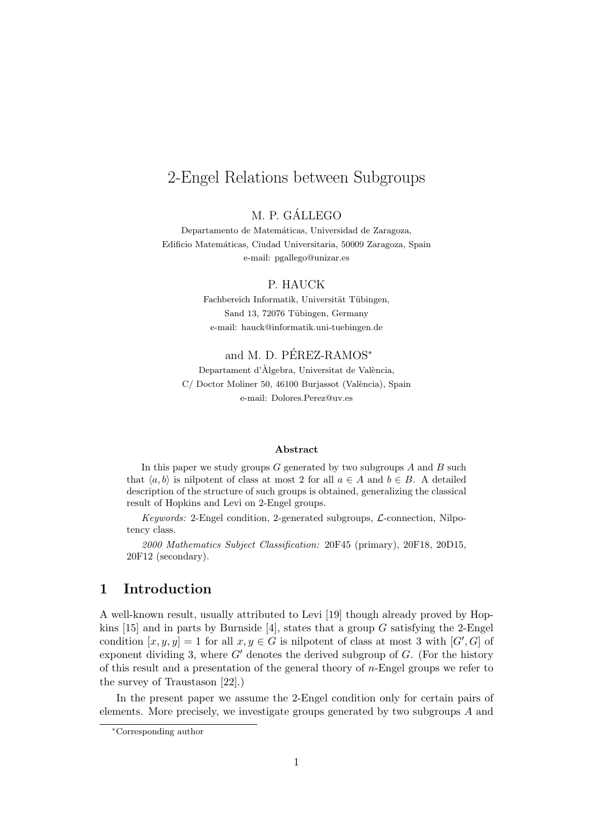# 2-Engel Relations between Subgroups

### M. P. GALLEGO ´

Departamento de Matemáticas, Universidad de Zaragoza, Edificio Matemáticas, Ciudad Universitaria, 50009 Zaragoza, Spain e-mail: pgallego@unizar.es

#### P. HAUCK

Fachbereich Informatik, Universität Tübingen, Sand 13, 72076 Tübingen, Germany e-mail: hauck@informatik.uni-tuebingen.de

#### and M. D. PEREZ-RAMOS<sup>\*</sup>

Departament d'Àlgebra, Universitat de València, C/ Doctor Moliner 50, 46100 Burjassot (València), Spain e-mail: Dolores.Perez@uv.es

#### **Abstract**

In this paper we study groups *G* generated by two subgroups *A* and *B* such that  $\langle a, b \rangle$  is nilpotent of class at most 2 for all  $a \in A$  and  $b \in B$ . A detailed description of the structure of such groups is obtained, generalizing the classical result of Hopkins and Levi on 2-Engel groups.

*Keywords:* 2-Engel condition, 2-generated subgroups, *L*-connection, Nilpotency class.

*2000 Mathematics Subject Classification:* 20F45 (primary), 20F18, 20D15, 20F12 (secondary).

## **1 Introduction**

A well-known result, usually attributed to Levi [19] though already proved by Hopkins [15] and in parts by Burnside [4], states that a group *G* satisfying the 2-Engel condition  $[x, y, y] = 1$  for all  $x, y \in G$  is nilpotent of class at most 3 with  $[G', G]$  of exponent dividing 3, where  $G'$  denotes the derived subgroup of  $G$ . (For the history of this result and a presentation of the general theory of *n*-Engel groups we refer to the survey of Traustason [22].)

In the present paper we assume the 2-Engel condition only for certain pairs of elements. More precisely, we investigate groups generated by two subgroups *A* and

*<sup>∗</sup>*Corresponding author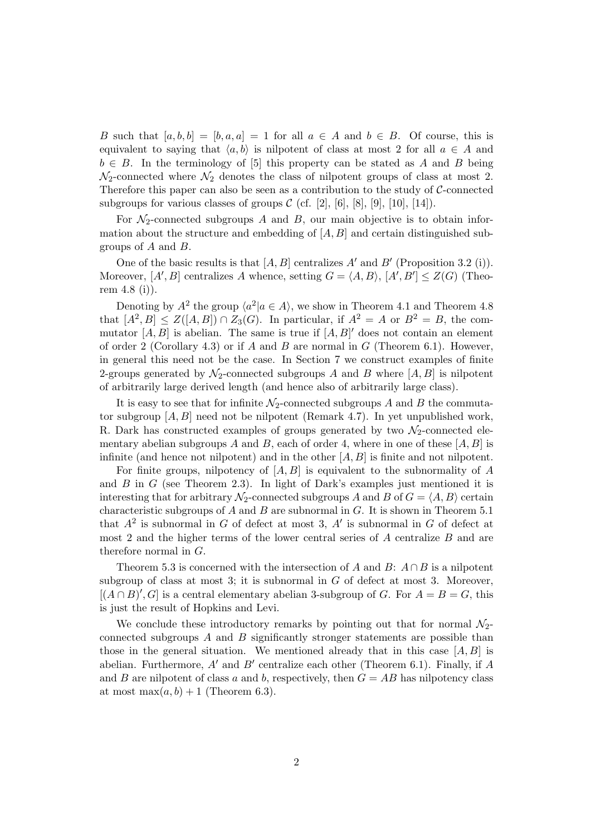*B* such that  $[a, b, b] = [b, a, a] = 1$  for all  $a \in A$  and  $b \in B$ . Of course, this is equivalent to saying that  $\langle a, b \rangle$  is nilpotent of class at most 2 for all  $a \in A$  and  $b \in B$ . In the terminology of [5] this property can be stated as *A* and *B* being  $\mathcal{N}_2$ -connected where  $\mathcal{N}_2$  denotes the class of nilpotent groups of class at most 2. Therefore this paper can also be seen as a contribution to the study of *C*-connected subgroups for various classes of groups  $C$  (cf. [2], [6], [8], [9], [10], [14]).

For  $\mathcal{N}_2$ -connected subgroups *A* and *B*, our main objective is to obtain information about the structure and embedding of  $[A, B]$  and certain distinguished subgroups of *A* and *B*.

One of the basic results is that [*A, B*] centralizes *A′* and *B′* (Proposition 3.2 (i)). Moreover,  $[A', B]$  centralizes *A* whence, setting  $G = \langle A, B \rangle$ ,  $[A', B'] \leq Z(G)$  (Theorem 4.8 (i)).

Denoting by  $A^2$  the group  $\langle a^2 | a \in A \rangle$ , we show in Theorem 4.1 and Theorem 4.8 that  $[A^2, B] \leq Z([A, B]) \cap Z_3(G)$ . In particular, if  $A^2 = A$  or  $B^2 = B$ , the commutator  $[A, B]$  is abelian. The same is true if  $[A, B]'$  does not contain an element of order 2 (Corollary 4.3) or if *A* and *B* are normal in *G* (Theorem 6.1). However, in general this need not be the case. In Section 7 we construct examples of finite 2-groups generated by  $\mathcal{N}_2$ -connected subgroups *A* and *B* where  $[A, B]$  is nilpotent of arbitrarily large derived length (and hence also of arbitrarily large class).

It is easy to see that for infinite  $\mathcal{N}_2$ -connected subgroups *A* and *B* the commutator subgroup [*A, B*] need not be nilpotent (Remark 4.7). In yet unpublished work, R. Dark has constructed examples of groups generated by two  $\mathcal{N}_2$ -connected elementary abelian subgroups *A* and *B*, each of order 4, where in one of these  $[A, B]$  is infinite (and hence not nilpotent) and in the other [*A, B*] is finite and not nilpotent.

For finite groups, nilpotency of [*A, B*] is equivalent to the subnormality of *A* and *B* in *G* (see Theorem 2.3). In light of Dark's examples just mentioned it is interesting that for arbitrary  $\mathcal{N}_2$ -connected subgroups *A* and *B* of  $G = \langle A, B \rangle$  certain characteristic subgroups of *A* and *B* are subnormal in *G*. It is shown in Theorem 5.1 that  $A^2$  is subnormal in *G* of defect at most 3,  $A'$  is subnormal in *G* of defect at most 2 and the higher terms of the lower central series of *A* centralize *B* and are therefore normal in *G*.

Theorem 5.3 is concerned with the intersection of *A* and *B*:  $A \cap B$  is a nilpotent subgroup of class at most 3; it is subnormal in *G* of defect at most 3. Moreover,  $[(A \cap B)'$ , *G* is a central elementary abelian 3-subgroup of *G*. For  $A = B = G$ , this is just the result of Hopkins and Levi.

We conclude these introductory remarks by pointing out that for normal  $\mathcal{N}_2$ connected subgroups *A* and *B* significantly stronger statements are possible than those in the general situation. We mentioned already that in this case  $[A, B]$  is abelian. Furthermore, *A′* and *B′* centralize each other (Theorem 6.1). Finally, if *A* and *B* are nilpotent of class *a* and *b*, respectively, then  $G = AB$  has nilpotency class at most max $(a, b) + 1$  (Theorem 6.3).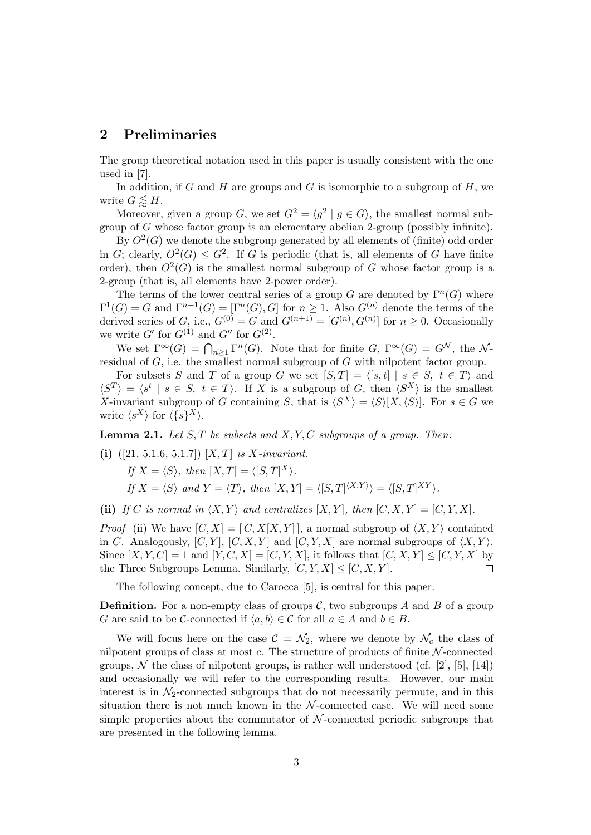#### **2 Preliminaries**

The group theoretical notation used in this paper is usually consistent with the one used in [7].

In addition, if *G* and *H* are groups and *G* is isomorphic to a subgroup of *H*, we write  $G \leq H$ .

Moreover, given a group *G*, we set  $G^2 = \langle g^2 | g \in G \rangle$ , the smallest normal subgroup of *G* whose factor group is an elementary abelian 2-group (possibly infinite).

By  $O^2(G)$  we denote the subgroup generated by all elements of (finite) odd order in *G*; clearly,  $O^2(G) \leq G^2$ . If *G* is periodic (that is, all elements of *G* have finite order), then  $O^2(G)$  is the smallest normal subgroup of *G* whose factor group is a 2-group (that is, all elements have 2-power order).

The terms of the lower central series of a group *G* are denoted by  $\Gamma^n(G)$  where  $\Gamma^{1}(G) = G$  and  $\Gamma^{n+1}(G) = [\Gamma^{n}(G), G]$  for  $n \geq 1$ . Also  $G^{(n)}$  denote the terms of the derived series of *G*, i.e.,  $G^{(0)} = G$  and  $G^{(n+1)} = [G^{(n)}, G^{(n)}]$  for  $n \geq 0$ . Occasionally we write  $G'$  for  $G^{(1)}$  and  $G''$  for  $G^{(2)}$ .

We set  $\Gamma^{\infty}(G) = \bigcap_{n \geq 1} \Gamma^n(G)$ . Note that for finite *G*,  $\Gamma^{\infty}(G) = G^{\mathcal{N}}$ , the  $\mathcal{N}$ residual of *G*, i.e. the smallest normal subgroup of *G* with nilpotent factor group.

For subsets *S* and *T* of a group *G* we set  $[S,T] = \langle [s,t] | s \in S, t \in T \rangle$  and  $\langle S^T \rangle = \langle s^t | s \in S, t \in T \rangle$ . If *X* is a subgroup of *G*, then  $\langle S^X \rangle$  is the smallest *X*-invariant subgroup of *G* containing *S*, that is  $\langle S^X \rangle = \langle S \rangle [X, \langle S \rangle]$ . For  $s \in G$  we write  $\langle s^X \rangle$  for  $\langle \{s\}^X \rangle$ .

**Lemma 2.1.** *Let S, T be subsets and X, Y, C subgroups of a group. Then:*

**(i)** ([21, 5.1.6, 5.1.7]) [*X, T*] *is X-invariant.*

 $\textit{If } X = \langle S \rangle, \text{ then } [X, T] = \langle [S, T]^X \rangle.$ If  $X = \langle S \rangle$  and  $Y = \langle T \rangle$ , then  $[X, Y] = \langle [S, T]^{ \langle X, Y \rangle} \rangle = \langle [S, T]^{XY} \rangle$ .

(ii) If C is normal in  $\langle X, Y \rangle$  and centralizes  $[X, Y]$ , then  $[C, X, Y] = [C, Y, X]$ .

*Proof* (ii) We have  $[C, X] = [C, X[X, Y]]$ , a normal subgroup of  $\langle X, Y \rangle$  contained in *C*. Analogously,  $[C, Y]$ ,  $[C, X, Y]$  and  $[C, Y, X]$  are normal subgroups of  $\langle X, Y \rangle$ . Since  $[X, Y, C] = 1$  and  $[Y, C, X] = [C, Y, X]$ , it follows that  $[C, X, Y] \leq [C, Y, X]$  by the Three Subgroups Lemma. Similarly,  $[C, Y, X] \leq [C, X, Y]$ .  $\Box$ 

The following concept, due to Carocca [5], is central for this paper.

**Definition.** For a non-empty class of groups  $\mathcal{C}$ , two subgroups  $A$  and  $B$  of a group *G* are said to be *C*-connected if  $\langle a, b \rangle \in C$  for all  $a \in A$  and  $b \in B$ .

We will focus here on the case  $\mathcal{C} = \mathcal{N}_2$ , where we denote by  $\mathcal{N}_c$  the class of nilpotent groups of class at most *c*. The structure of products of finite *N* -connected groups,  $\mathcal N$  the class of nilpotent groups, is rather well understood (cf. [2], [5], [14]) and occasionally we will refer to the corresponding results. However, our main interest is in  $\mathcal{N}_2$ -connected subgroups that do not necessarily permute, and in this situation there is not much known in the  $N$ -connected case. We will need some simple properties about the commutator of *N* -connected periodic subgroups that are presented in the following lemma.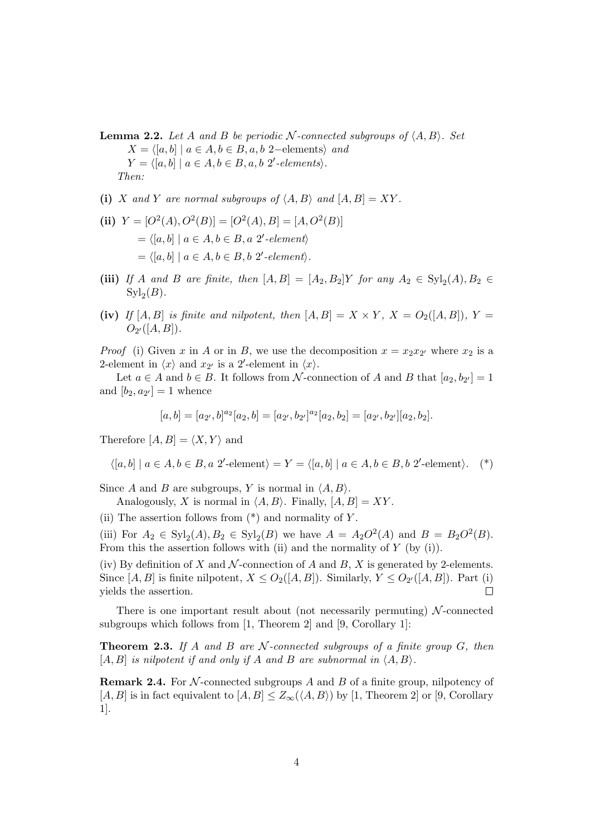**Lemma 2.2.** Let A and B be periodic  $N$ -connected subgroups of  $\langle A, B \rangle$ . Set *X* =  $\langle [a, b] | a \in A, b \in B, a, b \nvert 2$ −elements*\ and*  $Y = \langle [a, b] \mid a \in A, b \in B, a, b \n2'$ -elements $\rangle$ . *Then:*

- (i) *X* and *Y* are normal subgroups of  $\langle A, B \rangle$  and  $[A, B] = XY$ .
- (ii)  $Y = [O^2(A), O^2(B)] = [O^2(A), B] = [A, O^2(B)]$  $= \langle [a, b] | a \in A, b \in B, a \text{ } 2' \text{-}element \rangle$  $= \langle [a, b] \mid a \in A, b \in B, b \n2' \text{-}element \rangle.$
- (iii) *If A* and *B* are finite, then  $[A, B] = [A_2, B_2]Y$  for any  $A_2 \in \text{Syl}_2(A), B_2 \in$  $\mathrm{Syl}_2(B)$ .
- (iv) *If*  $[A, B]$  *is finite and nilpotent, then*  $[A, B] = X \times Y$ ,  $X = O_2([A, B])$ ,  $Y =$  $O_{2'}([A, B]).$

*Proof* (i) Given *x* in *A* or in *B*, we use the decomposition  $x = x_2 x_2$ <sup>*'*</sup> where  $x_2$  is a 2-element in  $\langle x \rangle$  and  $x_{2'}$  is a 2'-element in  $\langle x \rangle$ .

Let  $a \in A$  and  $b \in B$ . It follows from *N*-connection of *A* and *B* that  $[a_2, b_{2'}] = 1$ and  $[b_2, a_{2'}] = 1$  whence

$$
[a,b]=[a_{2'},b]^{a_2}[a_2,b]=[a_{2'},b_{2'}]^{a_2}[a_2,b_2]=[a_{2'},b_{2'}][a_2,b_2].
$$

Therefore  $[A, B] = \langle X, Y \rangle$  and

$$
\langle [a, b] \mid a \in A, b \in B, a \text{ 2'-element} \rangle = Y = \langle [a, b] \mid a \in A, b \in B, b \text{ 2'-element} \rangle. \tag{*}
$$

Since *A* and *B* are subgroups, *Y* is normal in  $\langle A, B \rangle$ .

Analogously, *X* is normal in  $\langle A, B \rangle$ . Finally,  $[A, B] = XY$ .

(ii) The assertion follows from (\*) and normality of *Y* .

(iii) For  $A_2 \in \text{Syl}_2(A), B_2 \in \text{Syl}_2(B)$  we have  $A = A_2O^2(A)$  and  $B = B_2O^2(B)$ . From this the assertion follows with (ii) and the normality of *Y* (by (i)).

(iv) By definition of *X* and *N*-connection of *A* and *B*, *X* is generated by 2-elements. Since  $[A, B]$  is finite nilpotent,  $X \leq O_2([A, B])$ . Similarly,  $Y \leq O_{2'}([A, B])$ . Part (i) yields the assertion.  $\Box$ 

There is one important result about (not necessarily permuting) *N* -connected subgroups which follows from [1, Theorem 2] and [9, Corollary 1]:

**Theorem 2.3.** *If A and B are N -connected subgroups of a finite group G, then*  $[A, B]$  *is nilpotent if and only if*  $A$  *and*  $B$  *are subnormal in*  $\langle A, B \rangle$ *.* 

**Remark 2.4.** For *N* -connected subgroups *A* and *B* of a finite group, nilpotency of [*A, B*] is in fact equivalent to  $[A, B] \leq Z_{\infty}(\langle A, B \rangle)$  by [1, Theorem 2] or [9, Corollary 1].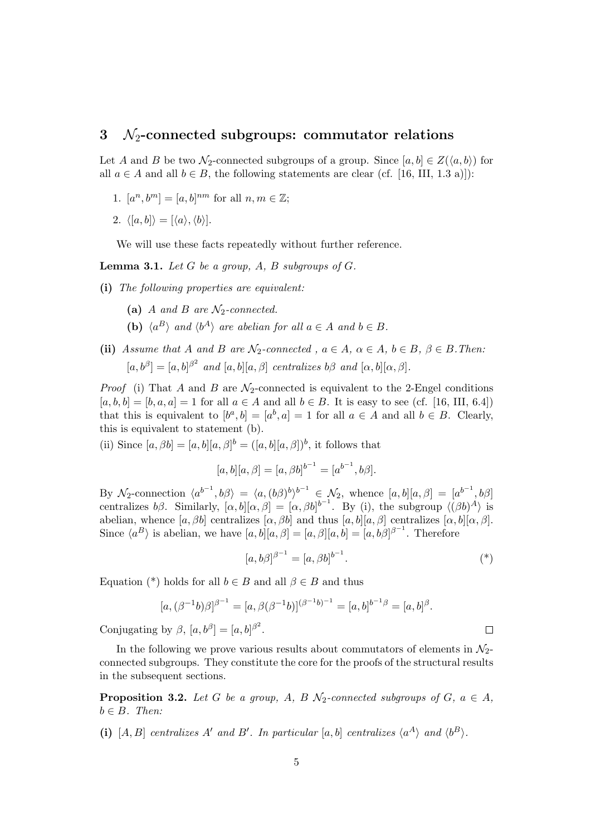#### **3** *N*2**-connected subgroups: commutator relations**

Let *A* and *B* be two  $\mathcal{N}_2$ -connected subgroups of a group. Since  $[a, b] \in Z(\langle a, b \rangle)$  for all  $a \in A$  and all  $b \in B$ , the following statements are clear (cf. [16, III, 1.3 a)]):

- 1.  $[a^n, b^m] = [a, b]^{nm}$  for all  $n, m \in \mathbb{Z}$ ;
- 2.  $\langle [a, b] \rangle = [\langle a \rangle, \langle b \rangle].$

We will use these facts repeatedly without further reference.

**Lemma 3.1.** *Let*  $G$  *be a group,*  $A$ *,*  $B$  *subgroups of*  $G$ *.* 

- **(i)** *The following properties are equivalent:*
	- **(a)** *A and B are N*2*-connected.*
	- **(b)**  $\langle a^B \rangle$  *and*  $\langle b^A \rangle$  *are abelian for all*  $a \in A$  *and*  $b \in B$ *.*
- (ii) Assume that A and B are  $\mathcal{N}_2$ -connected,  $a \in A$ ,  $\alpha \in A$ ,  $b \in B$ ,  $\beta \in B$ . Then:  $[a, b^{\beta}] = [a, b]^{\beta^2}$  *and*  $[a, b][a, \beta]$  *centralizes*  $b\beta$  *and*  $[\alpha, b][\alpha, \beta]$ .

*Proof* (i) That *A* and *B* are  $\mathcal{N}_2$ -connected is equivalent to the 2-Engel conditions  $[a, b, b] = [b, a, a] = 1$  for all  $a \in A$  and all  $b \in B$ . It is easy to see (cf. [16, III, 6.4]) that this is equivalent to  $[b^a, b] = [a^b, a] = 1$  for all  $a \in A$  and all  $b \in B$ . Clearly, this is equivalent to statement (b).

(ii) Since  $[a, \beta b] = [a, b][a, \beta]^b = ([a, b][a, \beta])^b$ , it follows that

$$
[a, b][a, \beta] = [a, \beta b]^{b^{-1}} = [a^{b^{-1}}, b\beta].
$$

By  $\mathcal{N}_2$ -connection  $\langle a^{b^{-1}}, b\beta \rangle = \langle a, (b\beta)^b \rangle^{b^{-1}} \in \mathcal{N}_2$ , whence  $[a, b][a, \beta] = [a^{b^{-1}}, b\beta]$ centralizes  $b\beta$ . Similarly,  $[\alpha, b][\alpha, \beta] = [\alpha, \beta b]^{b-1}$ . By (i), the subgroup  $\langle (\beta b)^A \rangle$  is abelian, whence  $[a, \beta b]$  centralizes  $[\alpha, \beta b]$  and thus  $[a, b][a, \beta]$  centralizes  $[\alpha, b][\alpha, \beta]$ . Since  $\langle a^B \rangle$  is abelian, we have  $[a, b][a, \beta] = [a, \beta][a, b] = [a, b\beta]^{\beta^{-1}}$ . Therefore

$$
[a, b\beta]^{\beta^{-1}} = [a, \beta b]^{b^{-1}}.
$$
\n<sup>(\*)</sup>

 $\Box$ 

Equation (\*) holds for all  $b \in B$  and all  $\beta \in B$  and thus

$$
[a,(\beta^{-1}b)\beta]^{\beta^{-1}} = [a,\beta(\beta^{-1}b)]^{(\beta^{-1}b)^{-1}} = [a,b]^{b^{-1}\beta} = [a,b]^{\beta}.
$$

Conjugating by  $\beta$ ,  $[a, b^{\beta}] = [a, b]^{\beta^2}$ .

In the following we prove various results about commutators of elements in  $\mathcal{N}_2$ connected subgroups. They constitute the core for the proofs of the structural results in the subsequent sections.

**Proposition 3.2.** *Let G be a group, A, B*  $\mathcal{N}_2$ -connected subgroups of *G*,  $a \in A$ *,*  $b \in B$ *. Then:* 

(i) [A, B] centralizes A' and B'. In particular [a, b] centralizes  $\langle a^A \rangle$  and  $\langle b^B \rangle$ .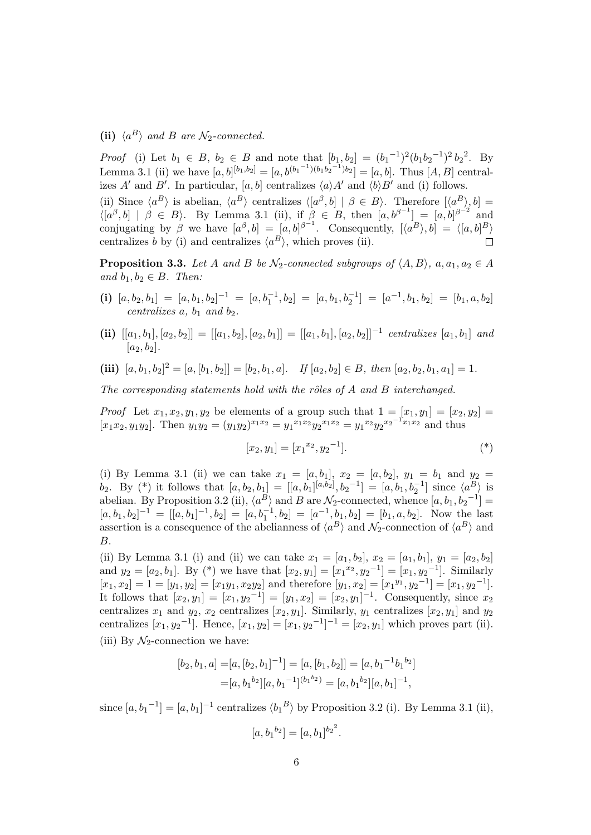(ii)  $\langle a^B \rangle$  *and B are*  $\mathcal{N}_2$ *-connected.* 

*Proof* (i) Let  $b_1 \in B$ ,  $b_2 \in B$  and note that  $[b_1, b_2] = (b_1^{-1})^2 (b_1 b_2^{-1})^2 b_2^2$ . By Lemma 3.1 (ii) we have  $[a, b]^{[b_1, b_2]} = [a, b^{(b_1 - 1)(b_1 b_2 - 1)}b_2] = [a, b]$ . Thus  $[A, B]$  centralizes *A'* and *B'*. In particular, [a, b] centralizes  $\langle a \rangle A'$  and  $\langle b \rangle B'$  and (i) follows.

(ii) Since  $\langle a^B \rangle$  is abelian,  $\langle a^B \rangle$  centralizes  $\langle [a^\beta, b] | \beta \in B \rangle$ . Therefore  $[\langle a^B \rangle, b] =$  $\langle [a^{\beta}, b] | \beta \in B \rangle$ . By Lemma 3.1 (ii), if  $\beta \in B$ , then  $[a, b^{\beta-1}] = [a, b]^{\beta-2}$  and conjugating by  $\beta$  we have  $[a^{\beta}, b] = [a, b]^{\beta-1}$ . Consequently,  $[\langle a^B \rangle, b] = \langle [a, b]^B \rangle$ centralizes *b* by (i) and centralizes  $\langle a^B \rangle$ , which proves (ii).

**Proposition 3.3.** *Let A and B be*  $\mathcal{N}_2$ *-connected subgroups of*  $\langle A, B \rangle$ *,*  $a, a_1, a_2 \in A$  $and b_1, b_2 \in B$ *. Then:* 

- (i)  $[a, b_2, b_1] = [a, b_1, b_2]^{-1} = [a, b_1^{-1}, b_2] = [a, b_1, b_2^{-1}] = [a^{-1}, b_1, b_2] = [b_1, a, b_2]$  $c$ *entralizes*  $\overline{a}$ *,*  $\overline{b}$ <sub>1</sub>  $\overline{a}$  $\overline{b}$  $\overline{b}$  $\overline{c}$ *).*
- (ii)  $[[a_1, b_1], [a_2, b_2]] = [[a_1, b_2], [a_2, b_1]] = [[a_1, b_1], [a_2, b_2]]^{-1}$  centralizes  $[a_1, b_1]$  and  $[a_2, b_2]$ .
- (iii)  $[a, b_1, b_2]^2 = [a, [b_1, b_2]] = [b_2, b_1, a]$ . If  $[a_2, b_2] \in B$ , then  $[a_2, b_2, b_1, a_1] = 1$ .

*The corresponding statements hold with the rˆoles of A and B interchanged.*

*Proof* Let  $x_1, x_2, y_1, y_2$  be elements of a group such that  $1 = [x_1, y_1] = [x_2, y_2] =$  $[x_1x_2, y_1y_2]$ . Then  $y_1y_2 = (y_1y_2)^{x_1x_2} = y_1^{x_1x_2}y_2^{x_1x_2} = y_1^{x_2}y_2^{x_2^{-1}x_1x_2}$  and thus

$$
[x_2, y_1] = [x_1^{x_2}, y_2^{-1}]. \tag{*}
$$

(i) By Lemma 3.1 (ii) we can take  $x_1 = [a, b_1], x_2 = [a, b_2], y_1 = b_1$  and  $y_2 =$  $b_2$ . By (\*) it follows that  $[a, b_2, b_1] = [[a, b_1]^{[a, b_2]}, b_2^{-1}] = [a, b_1, b_2^{-1}]$  since  $\langle a^B \rangle$  is abelian. By Proposition 3.2 (ii),  $\langle a^B \rangle$  and *B* are  $\mathcal{N}_2$ -connected, whence  $[a, b_1, b_2^{-1}] =$  $[a, b_1, b_2]^{-1} = [[a, b_1]^{-1}, b_2] = [a, b_1^{-1}, b_2] = [a^{-1}, b_1, b_2] = [b_1, a, b_2]$ . Now the last assertion is a consequence of the abelianness of  $\langle a^B \rangle$  and  $\mathcal{N}_2$ -connection of  $\langle a^B \rangle$  and *B*.

(ii) By Lemma 3.1 (i) and (ii) we can take  $x_1 = [a_1, b_2], x_2 = [a_1, b_1], y_1 = [a_2, b_2]$ and  $y_2 = [a_2, b_1]$ . By (\*) we have that  $[x_2, y_1] = [x_1^{x_2}, y_2^{-1}] = [x_1, y_2^{-1}]$ . Similarly  $[x_1, x_2] = 1 = [y_1, y_2] = [x_1y_1, x_2y_2]$  and therefore  $[y_1, x_2] = [x_1^{y_1}, y_2^{-1}] = [x_1, y_2^{-1}]$ . It follows that  $[x_2, y_1] = [x_1, y_2^{-1}] = [y_1, x_2] = [x_2, y_1]^{-1}$ . Consequently, since  $x_2$ centralizes  $x_1$  and  $y_2$ ,  $x_2$  centralizes  $[x_2, y_1]$ . Similarly,  $y_1$  centralizes  $[x_2, y_1]$  and  $y_2$ centralizes  $[x_1, y_2]^{-1}$ . Hence,  $[x_1, y_2] = [x_1, y_2]^{-1}^{-1} = [x_2, y_1]$  which proves part (ii). (iii) By  $\mathcal{N}_2$ -connection we have:

$$
[b_2, b_1, a] = [a, [b_2, b_1]^{-1}] = [a, [b_1, b_2]] = [a, b_1^{-1}b_1^{b_2}]
$$
  

$$
= [a, b_1^{b_2}][a, b_1^{-1}]^{(b_1^{b_2})} = [a, b_1^{b_2}][a, b_1]^{-1},
$$

since  $[a, b_1^{-1}] = [a, b_1]^{-1}$  centralizes  $\langle b_1^B \rangle$  by Proposition 3.2 (i). By Lemma 3.1 (ii),

$$
[a, b_1^{b_2}] = [a, b_1]^{b_2^{2}}
$$

*.*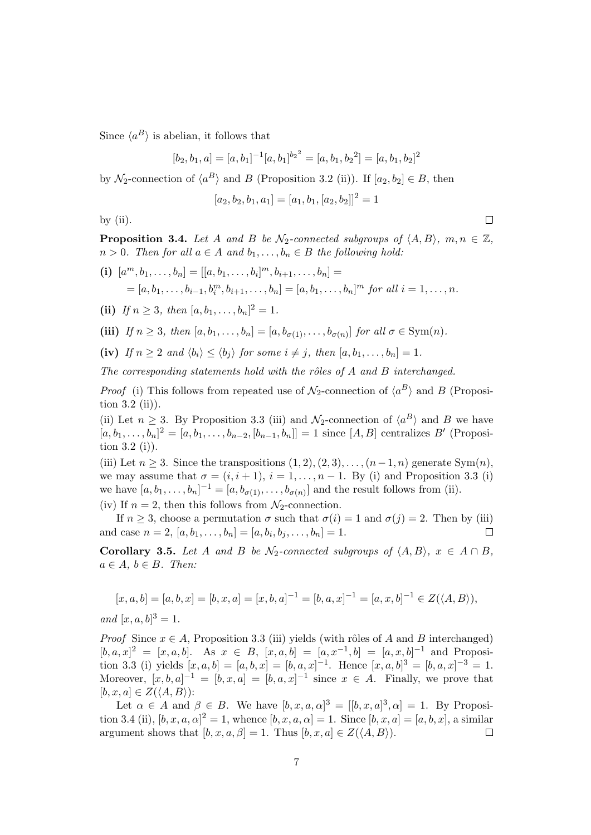Since  $\langle a^B \rangle$  is abelian, it follows that

 $[b_2, b_1, a] = [a, b_1]^{-1} [a, b_1]^{b_2} = [a, b_1, b_2] = [a, b_1, b_2]$ <sup>2</sup>

by  $\mathcal{N}_2$ -connection of  $\langle a^B \rangle$  and *B* (Proposition 3.2 (ii)). If  $[a_2, b_2] \in B$ , then

 $[a_2, b_2, b_1, a_1] = [a_1, b_1, [a_2, b_2]]^2 = 1$ 

by  $(ii)$ .

**Proposition 3.4.** *Let A and B be*  $\mathcal{N}_2$ -connected subgroups of  $\langle A, B \rangle$ ,  $m, n \in \mathbb{Z}$ ,  $n > 0$ *. Then for all*  $a \in A$  *and*  $b_1, \ldots, b_n \in B$  *the following hold:* 

(i) 
$$
[a^m, b_1, ..., b_n] = [[a, b_1, ..., b_i]^m, b_{i+1}, ..., b_n] =
$$
  
=  $[a, b_1, ..., b_{i-1}, b_i^m, b_{i+1}, ..., b_n] = [a, b_1, ..., b_n]^m$  for all  $i = 1, ..., n$ .

(ii) If  $n \geq 3$ *, then*  $[a, b_1, \ldots, b_n]^2 = 1$ *.* 

(iii) If 
$$
n \ge 3
$$
, then  $[a, b_1, \ldots, b_n] = [a, b_{\sigma(1)}, \ldots, b_{\sigma(n)}]$  for all  $\sigma \in \text{Sym}(n)$ .

(iv) If  $n \geq 2$  and  $\langle b_i \rangle \leq \langle b_j \rangle$  for some  $i \neq j$ , then  $[a, b_1, \ldots, b_n] = 1$ .

*The corresponding statements hold with the rˆoles of A and B interchanged.*

*Proof* (i) This follows from repeated use of  $\mathcal{N}_2$ -connection of  $\langle a^B \rangle$  and *B* (Proposition  $3.2$  (ii)).

(ii) Let  $n \geq 3$ . By Proposition 3.3 (iii) and  $\mathcal{N}_2$ -connection of  $\langle a^B \rangle$  and *B* we have  $[a, b_1, \ldots, b_n]^2 = [a, b_1, \ldots, b_{n-2}, [b_{n-1}, b_n]] = 1$  since  $[A, B]$  centralizes *B'* (Proposition 3.2 (i)).

(iii) Let  $n \geq 3$ . Since the transpositions  $(1, 2), (2, 3), \ldots, (n-1, n)$  generate Sym $(n)$ , we may assume that  $\sigma = (i, i + 1), i = 1, \ldots, n - 1$ . By (i) and Proposition 3.3 (i) we have  $[a, b_1, \ldots, b_n]^{-1} = [a, b_{\sigma(1)}, \ldots, b_{\sigma(n)}]$  and the result follows from (ii).

(iv) If  $n = 2$ , then this follows from  $\mathcal{N}_2$ -connection.

If  $n \geq 3$ , choose a permutation  $\sigma$  such that  $\sigma(i) = 1$  and  $\sigma(j) = 2$ . Then by (iii) and case  $n = 2, [a, b_1, \ldots, b_n] = [a, b_i, b_j, \ldots, b_n] = 1.$  $\Box$ 

**Corollary 3.5.** *Let A and B be*  $\mathcal{N}_2$ -connected subgroups of  $\langle A, B \rangle$ ,  $x \in A \cap B$ ,  $a \in A, b \in B$ *. Then:* 

$$
[x, a, b] = [a, b, x] = [b, x, a] = [x, b, a]^{-1} = [b, a, x]^{-1} = [a, x, b]^{-1} \in Z(\langle A, B \rangle),
$$

*and*  $[x, a, b]^3 = 1$ *.* 

*Proof* Since  $x \in A$ , Proposition 3.3 (iii) yields (with rôles of *A* and *B* interchanged)  $[b, a, x]^2 = [x, a, b]$ . As  $x \in B$ ,  $[x, a, b] = [a, x^{-1}, b] = [a, x, b]^{-1}$  and Proposition 3.3 (i) yields  $[x, a, b] = [a, b, x] = [b, a, x]^{-1}$ . Hence  $[x, a, b]^{3} = [b, a, x]^{-3} = 1$ . Moreover,  $[x, b, a]^{-1} = [b, x, a] = [b, a, x]^{-1}$  since  $x \in A$ . Finally, we prove that  $[b, x, a] \in Z(\langle A, B \rangle)$ :

Let  $\alpha \in A$  and  $\beta \in B$ . We have  $[b, x, a, \alpha]^3 = [[b, x, a]^3, \alpha] = 1$ . By Proposition 3.4 (ii),  $[b, x, a, \alpha]^2 = 1$ , whence  $[b, x, a, \alpha] = 1$ . Since  $[b, x, a] = [a, b, x]$ , a similar argument shows that  $[b, x, a, \beta] = 1$ . Thus  $[b, x, a] \in Z(\langle A, B \rangle)$ .  $\Box$ 

 $\Box$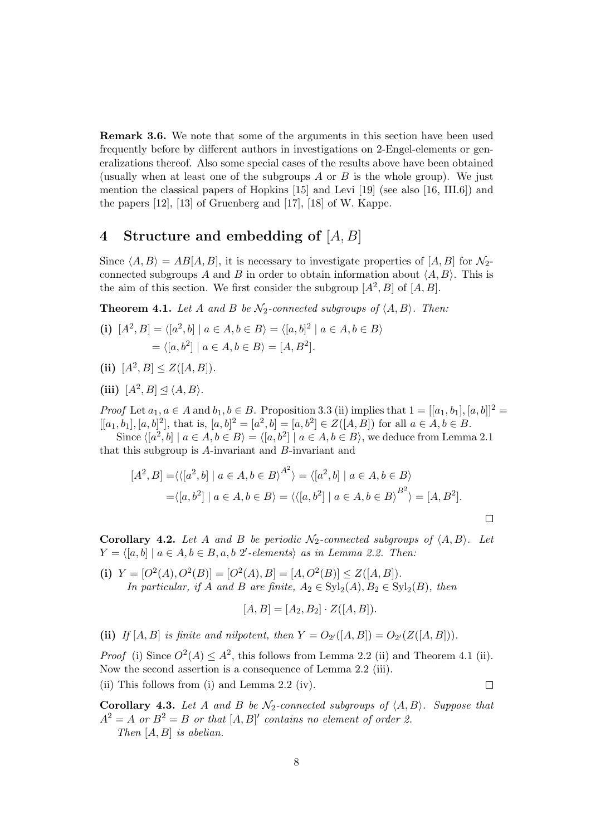**Remark 3.6.** We note that some of the arguments in this section have been used frequently before by different authors in investigations on 2-Engel-elements or generalizations thereof. Also some special cases of the results above have been obtained (usually when at least one of the subgroups *A* or *B* is the whole group). We just mention the classical papers of Hopkins [15] and Levi [19] (see also [16, III.6]) and the papers [12], [13] of Gruenberg and [17], [18] of W. Kappe.

### **4 Structure and embedding of** [*A, B*]

Since  $\langle A, B \rangle = AB[A, B]$ , it is necessary to investigate properties of  $[A, B]$  for  $\mathcal{N}_2$ connected subgroups *A* and *B* in order to obtain information about  $\langle A, B \rangle$ . This is the aim of this section. We first consider the subgroup  $[A^2, B]$  of  $[A, B]$ .

**Theorem 4.1.** Let *A* and *B* be  $\mathcal{N}_2$ -connected subgroups of  $\langle A, B \rangle$ . Then:

(i) 
$$
[A^2, B] = \langle [a^2, b] | a \in A, b \in B \rangle = \langle [a, b]^2 | a \in A, b \in B \rangle
$$
  
=  $\langle [a, b^2] | a \in A, b \in B \rangle = [A, B^2].$ 

- (ii)  $[A^2, B] \leq Z([A, B]).$
- (iii)  $[A^2, B] \leq \langle A, B \rangle$ *.*

*Proof* Let  $a_1, a \in A$  and  $b_1, b \in B$ . Proposition 3.3 (ii) implies that  $1 = [[a_1, b_1], [a, b]]^2$  $[[a_1, b_1], [a, b]^2]$ , that is,  $[a, b]^2 = [a^2, b] = [a, b^2] \in Z([A, B])$  for all  $a \in A, b \in B$ .

Since  $\langle [a^2, b] | a \in A, b \in B \rangle = \langle [a, b^2] | a \in A, b \in B \rangle$ , we deduce from Lemma 2.1 that this subgroup is *A*-invariant and *B*-invariant and

$$
[A^2, B] = \langle \langle [a^2, b] \mid a \in A, b \in B \rangle^{A^2} \rangle = \langle [a^2, b] \mid a \in A, b \in B \rangle
$$
  
=  $\langle [a, b^2] \mid a \in A, b \in B \rangle = \langle \langle [a, b^2] \mid a \in A, b \in B \rangle^{B^2} \rangle = [A, B^2].$ 

**Corollary 4.2.** Let *A* and *B* be periodic  $\mathcal{N}_2$ -connected subgroups of  $\langle A, B \rangle$ . Let  $Y = \langle [a, b] | a \in A, b \in B, a, b \n2'$ -elements $\rangle$  *as in Lemma 2.2. Then:* 

(i)  $Y = [O^2(A), O^2(B)] = [O^2(A), B] = [A, O^2(B)] \leq Z([A, B]).$ *In particular, if A and B are finite,*  $A_2 \in \text{Syl}_2(A)$ ,  $B_2 \in \text{Syl}_2(B)$ , *then* 

$$
[A, B] = [A_2, B_2] \cdot Z([A, B]).
$$

(ii) *If*  $[A, B]$  *is finite and nilpotent, then*  $Y = O_{2'}([A, B]) = O_{2'}(Z([A, B])).$ 

*Proof* (i) Since  $O^2(A) \leq A^2$ , this follows from Lemma 2.2 (ii) and Theorem 4.1 (ii). Now the second assertion is a consequence of Lemma 2.2 (iii).

(ii) This follows from (i) and Lemma 2.2 (iv).

 $\Box$ 

 $\Box$ 

**Corollary 4.3.** Let *A* and *B* be  $\mathcal{N}_2$ -connected subgroups of  $\langle A, B \rangle$ . Suppose that  $A^2 = A$  *or*  $B^2 = B$  *or that*  $[A, B]'$  *contains no element of order 2. Then* [*A, B*] *is abelian.*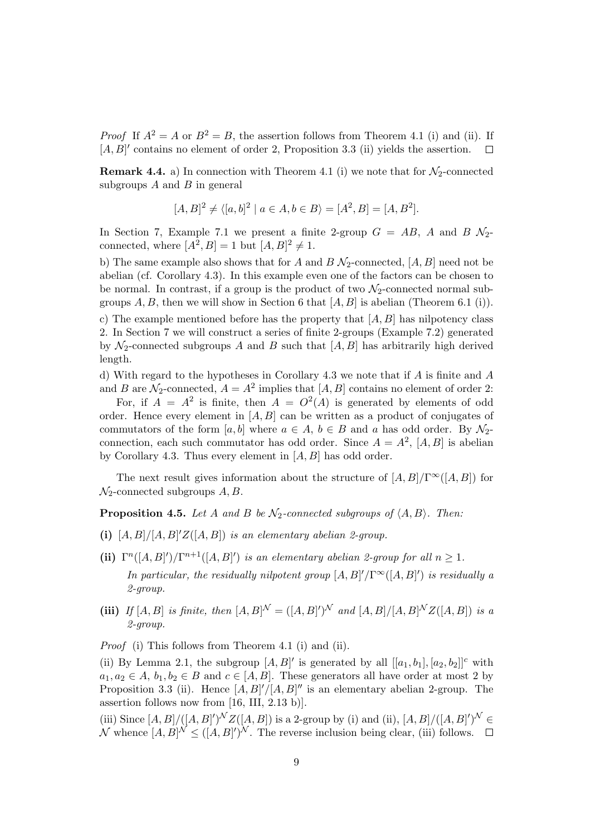*Proof* If  $A^2 = A$  or  $B^2 = B$ , the assertion follows from Theorem 4.1 (i) and (ii). If [*A, B*]<sup> $\prime$ </sup> contains no element of order 2, Proposition 3.3 (ii) yields the assertion.  $\Box$ 

**Remark 4.4.** a) In connection with Theorem 4.1 (i) we note that for  $\mathcal{N}_2$ -connected subgroups *A* and *B* in general

$$
[A, B]^2 \neq \langle [a, b]^2 \mid a \in A, b \in B \rangle = [A^2, B] = [A, B^2].
$$

In Section 7, Example 7.1 we present a finite 2-group  $G = AB$ , A and  $B\mathcal{N}_2$ connected, where  $[A^2, B] = 1$  but  $[A, B]^2 \neq 1$ .

b) The same example also shows that for *A* and *B*  $\mathcal{N}_2$ -connected,  $[A, B]$  need not be abelian (cf. Corollary 4.3). In this example even one of the factors can be chosen to be normal. In contrast, if a group is the product of two  $\mathcal{N}_2$ -connected normal subgroups  $A, B$ , then we will show in Section 6 that  $[A, B]$  is abelian (Theorem 6.1 (i)).

c) The example mentioned before has the property that [*A, B*] has nilpotency class 2. In Section 7 we will construct a series of finite 2-groups (Example 7.2) generated by  $\mathcal{N}_2$ -connected subgroups *A* and *B* such that  $[A, B]$  has arbitrarily high derived length.

d) With regard to the hypotheses in Corollary 4.3 we note that if *A* is finite and *A* and *B* are  $\mathcal{N}_2$ -connected,  $A = A^2$  implies that  $[A, B]$  contains no element of order 2:

For, if  $A = A^2$  is finite, then  $A = O^2(A)$  is generated by elements of odd order. Hence every element in [*A, B*] can be written as a product of conjugates of commutators of the form [*a, b*] where  $a \in A$ ,  $b \in B$  and *a* has odd order. By  $\mathcal{N}_2$ connection, each such commutator has odd order. Since  $A = A^2$ ,  $[A, B]$  is abelian by Corollary 4.3. Thus every element in [*A, B*] has odd order.

The next result gives information about the structure of  $[A, B]/\Gamma^\infty([A, B])$  for *N*2-connected subgroups *A, B*.

**Proposition 4.5.** *Let A and B be*  $\mathcal{N}_2$ *-connected subgroups of*  $\langle A, B \rangle$ *. Then:* 

- (i)  $[A, B]/[A, B]'Z([A, B])$  *is an elementary abelian 2-group.*
- (ii)  $\Gamma^{n}([A, B]^{\prime})/\Gamma^{n+1}([A, B]^{\prime})$  *is an elementary abelian 2-group for all*  $n \geq 1$ *. In particular, the residually nilpotent group*  $[A, B]' / \Gamma^{\infty}([A, B]')$  *is residually a 2-group.*
- **(iii)** If  $[A, B]$  is finite, then  $[A, B]^N = ([A, B]^{\prime})^N$  and  $[A, B]/[A, B]^N Z([A, B])$  is a *2-group.*

*Proof* (i) This follows from Theorem 4.1 (i) and (ii).

(ii) By Lemma 2.1, the subgroup  $[A, B]'$  is generated by all  $[[a_1, b_1], [a_2, b_2]]^c$  with  $a_1, a_2 \in A$ ,  $b_1, b_2 \in B$  and  $c \in [A, B]$ . These generators all have order at most 2 by Proposition 3.3 (ii). Hence  $[A, B]'/[A, B]''$  is an elementary abelian 2-group. The assertion follows now from [16, III, 2.13 b)].

(iii) Since  $[A, B]/([A, B])^N Z([A, B])$  is a 2-group by (i) and (ii),  $[A, B]/([A, B])^N \in$ *N* whence  $[A, B]^N \leq ([A, B]^{\prime})^N$ . The reverse inclusion being clear, (iii) follows.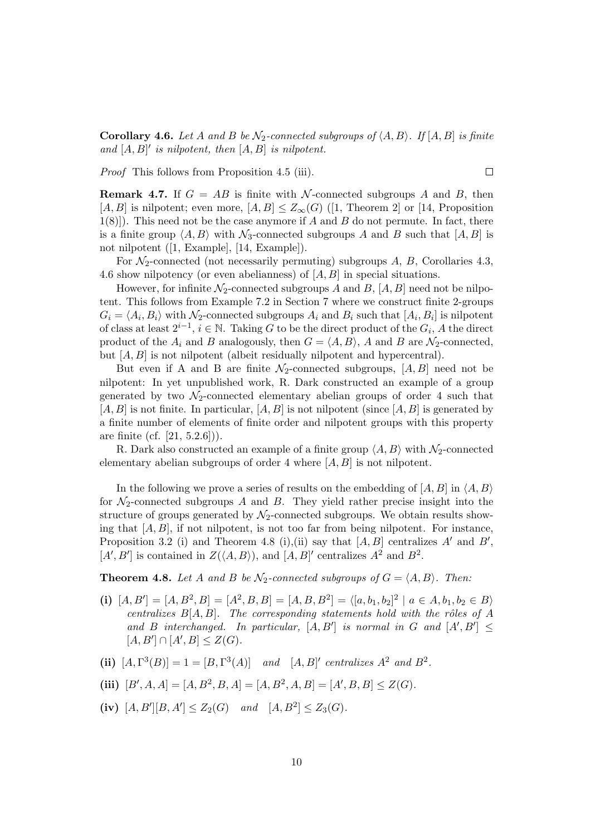**Corollary 4.6.** *Let A and B be*  $\mathcal{N}_2$ -connected subgroups of  $\langle A, B \rangle$ . If  $[A, B]$  is finite *and* [*A, B*] *′ is nilpotent, then* [*A, B*] *is nilpotent.*

 $\Box$ 

*Proof* This follows from Proposition 4.5 (iii).

**Remark 4.7.** If  $G = AB$  is finite with *N*-connected subgroups *A* and *B*, then [*A, B*] is nilpotent; even more,  $[A, B] \leq Z_{\infty}(G)$  ([1, Theorem 2] or [14, Proposition 1(8)]). This need not be the case anymore if *A* and *B* do not permute. In fact, there is a finite group  $\langle A, B \rangle$  with  $\mathcal{N}_3$ -connected subgroups *A* and *B* such that  $[A, B]$  is not nilpotent ([1, Example], [14, Example]).

For *N*2-connected (not necessarily permuting) subgroups *A*, *B*, Corollaries 4.3, 4.6 show nilpotency (or even abelianness) of [*A, B*] in special situations.

However, for infinite  $\mathcal{N}_2$ -connected subgroups *A* and *B*,  $[A, B]$  need not be nilpotent. This follows from Example 7.2 in Section 7 where we construct finite 2-groups  $G_i = \langle A_i, B_i \rangle$  with  $\mathcal{N}_2$ -connected subgroups  $A_i$  and  $B_i$  such that  $[A_i, B_i]$  is nilpotent of class at least  $2^{i-1}$ ,  $i \in \mathbb{N}$ . Taking *G* to be the direct product of the  $G_i$ , *A* the direct product of the  $A_i$  and  $B$  analogously, then  $G = \langle A, B \rangle$ ,  $A$  and  $B$  are  $\mathcal{N}_2$ -connected, but [*A, B*] is not nilpotent (albeit residually nilpotent and hypercentral).

But even if A and B are finite  $\mathcal{N}_2$ -connected subgroups,  $[A, B]$  need not be nilpotent: In yet unpublished work, R. Dark constructed an example of a group generated by two  $\mathcal{N}_2$ -connected elementary abelian groups of order 4 such that [*A, B*] is not finite. In particular, [*A, B*] is not nilpotent (since [*A, B*] is generated by a finite number of elements of finite order and nilpotent groups with this property are finite (cf. [21, 5.2.6])).

R. Dark also constructed an example of a finite group  $\langle A, B \rangle$  with  $\mathcal{N}_2$ -connected elementary abelian subgroups of order 4 where [*A, B*] is not nilpotent.

In the following we prove a series of results on the embedding of  $[A, B]$  in  $\langle A, B \rangle$ for  $\mathcal{N}_2$ -connected subgroups *A* and *B*. They yield rather precise insight into the structure of groups generated by  $\mathcal{N}_2$ -connected subgroups. We obtain results showing that [*A, B*], if not nilpotent, is not too far from being nilpotent. For instance, Proposition 3.2 (i) and Theorem 4.8 (i),(ii) say that [*A, B*] centralizes *A′* and *B′* ,  $[A', B']$  is contained in  $Z(\langle A, B \rangle)$ , and  $[A, B]'$  centralizes  $A^2$  and  $B^2$ .

**Theorem 4.8.** Let *A* and *B* be  $\mathcal{N}_2$ -connected subgroups of  $G = \langle A, B \rangle$ . Then:

- (i)  $[A, B'] = [A, B^2, B] = [A^2, B, B] = [A, B, B^2] = \langle [a, b_1, b_2]^2 \mid a \in A, b_1, b_2 \in B \rangle$ *centralizes*  $B[A, B]$ *. The corresponding statements hold with the rôles of*  $A$ and *B* interchanged. In particular,  $[A, B']$  is normal in *G* and  $[A', B'] \leq$  $[A, B'] \cap [A', B] \leq Z(G)$ *.*
- (ii)  $[A, \Gamma^3(B)] = 1 = [B, \Gamma^3(A)]$  *and*  $[A, B]'$  *centralizes*  $A^2$  *and*  $B^2$ *.*
- (iii)  $[B', A, A] = [A, B^2, B, A] = [A, B^2, A, B] = [A', B, B] \leq Z(G)$ *.*
- (iv)  $[A, B'] [B, A'] \le Z_2(G)$  *and*  $[A, B^2] \le Z_3(G)$ *.*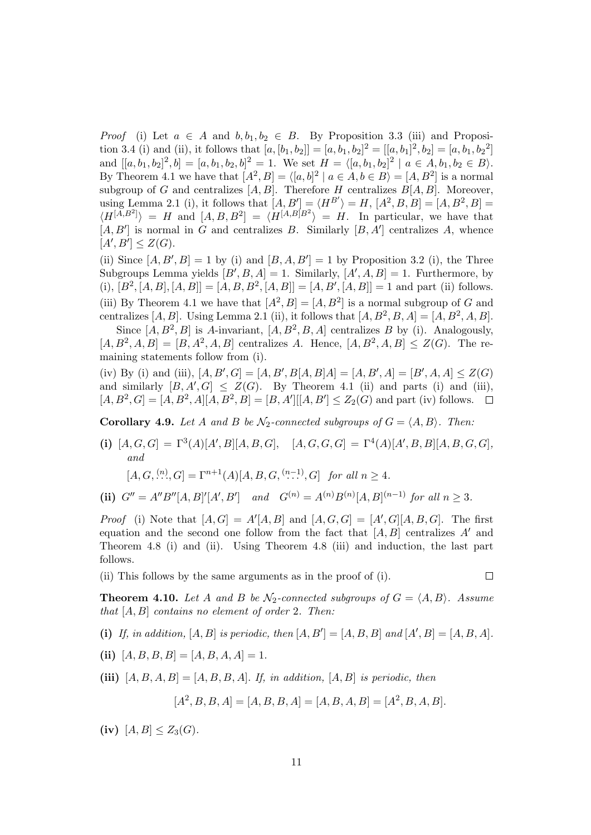*Proof* (i) Let  $a \in A$  and  $b, b_1, b_2 \in B$ . By Proposition 3.3 (iii) and Proposition 3.4 (i) and (ii), it follows that  $[a, [b_1, b_2]] = [a, b_1, b_2]^2 = [[a, b_1]^2, b_2] = [a, b_1, b_2^2]$ and  $[[a, b_1, b_2]^2, b] = [a, b_1, b_2, b]^2 = 1$ . We set  $H = \langle [a, b_1, b_2]^2 \mid a \in A, b_1, b_2 \in B \rangle$ . By Theorem 4.1 we have that  $[A^2, B] = \langle [a, b]^2 \mid a \in A, b \in B \rangle = [A, B^2]$  is a normal subgroup of *G* and centralizes  $[A, B]$ . Therefore *H* centralizes  $B[A, B]$ . Moreover, using Lemma 2.1 (i), it follows that  $[A, B'] = \langle H^{B'} \rangle = H$ ,  $[A^2, B, B] = [A, B^2, B] =$  $\langle H^{[A,B^2]} \rangle = H$  and  $[A, B, B^2] = \langle H^{[A,B]B^2} \rangle = H$ . In particular, we have that  $[A, B']$  is normal in *G* and centralizes *B*. Similarly  $[B, A']$  centralizes *A*, whence  $[A', B'] \leq Z(G).$ 

(ii) Since  $[A, B', B] = 1$  by (i) and  $[B, A, B'] = 1$  by Proposition 3.2 (i), the Three Subgroups Lemma yields  $[B', B, A] = 1$ . Similarly,  $[A', A, B] = 1$ . Furthermore, by  $(i), [B^2, [A, B], [A, B]] = [A, B, B^2, [A, B]] = [A, B', [A, B]] = 1$  and part (ii) follows. (iii) By Theorem 4.1 we have that  $[A^2, B] = [A, B^2]$  is a normal subgroup of *G* and centralizes  $[A, B]$ . Using Lemma 2.1 (ii), it follows that  $[A, B^2, B, A] = [A, B^2, A, B]$ .

Since  $[A, B^2, B]$  is A-invariant,  $[A, B^2, B, A]$  centralizes *B* by (i). Analogously,  $[A, B^2, A, B] = [B, A^2, A, B]$  centralizes *A*. Hence,  $[A, B^2, A, B] \leq Z(G)$ . The remaining statements follow from (i).

(iv) By (i) and (iii),  $[A, B', G] = [A, B', B[A, B]A] = [A, B', A] = [B', A, A] \leq Z(G)$ and similarly  $[B, A', G] \leq Z(G)$ . By Theorem 4.1 (ii) and parts (i) and (iii),  $[A, B^2, G] = [A, B^2, A][A, B^2, B] = [B, A'][A, B'] \le Z_2(G)$  and part (iv) follows.

**Corollary 4.9.** *Let A and B be*  $\mathcal{N}_2$ *-connected subgroups of*  $G = \langle A, B \rangle$ *. Then:* 

**(i)**  $[A, G, G] = \Gamma^3(A)[A', B][A, B, G], [A, G, G, G] = \Gamma^4(A)[A', B, B][A, B, G, G],$ *and*

$$
[A, G, \stackrel{(n)}{\ldots}, G] = \Gamma^{n+1}(A)[A, B, G, \stackrel{(n-1)}{\ldots}, G] \text{ for all } n \ge 4.
$$

(ii)  $G'' = A''B''[A, B]'[A', B']$  and  $G^{(n)} = A^{(n)}B^{(n)}[A, B]^{(n-1)}$  for all  $n \geq 3$ .

*Proof* (i) Note that  $[A, G] = A' [A, B]$  and  $[A, G, G] = [A', G][A, B, G]$ . The first equation and the second one follow from the fact that [*A, B*] centralizes *A′* and Theorem 4.8 (i) and (ii). Using Theorem 4.8 (iii) and induction, the last part follows.

(ii) This follows by the same arguments as in the proof of (i).

 $\Box$ 

**Theorem 4.10.** Let *A* and *B* be  $\mathcal{N}_2$ -connected subgroups of  $G = \langle A, B \rangle$ . Assume *that* [*A, B*] *contains no element of order* 2*. Then:*

(i) If, in addition,  $[A, B]$  is periodic, then  $[A, B'] = [A, B, B]$  and  $[A', B] = [A, B, A]$ .

(ii)  $[A, B, B, B] = [A, B, A, A] = 1.$ 

(iii)  $[A, B, A, B] = [A, B, B, A]$ *. If, in addition,*  $[A, B]$  *is periodic, then* 

$$
[A^2, B, B, A] = [A, B, B, A] = [A, B, A, B] = [A^2, B, A, B].
$$

(iv)  $[A, B] \leq Z_3(G)$ .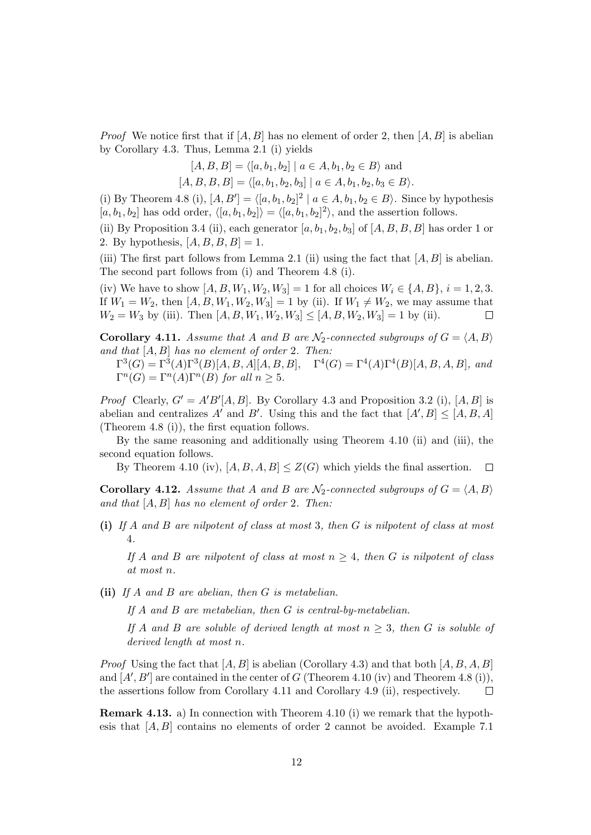*Proof* We notice first that if  $[A, B]$  has no element of order 2, then  $[A, B]$  is abelian by Corollary 4.3. Thus, Lemma 2.1 (i) yields

$$
[A, B, B] = \langle [a, b_1, b_2] | a \in A, b_1, b_2 \in B \rangle
$$
 and

 $[A, B, B, B] = \langle [a, b_1, b_2, b_3] | a \in A, b_1, b_2, b_3 \in B \rangle.$ 

(i) By Theorem 4.8 (i),  $[A, B'] = \langle [a, b_1, b_2]^2 \mid a \in A, b_1, b_2 \in B \rangle$ . Since by hypothesis  $[a, b_1, b_2]$  has odd order,  $\langle [a, b_1, b_2] \rangle = \langle [a, b_1, b_2]^2 \rangle$ , and the assertion follows.

(ii) By Proposition 3.4 (ii), each generator  $[a, b_1, b_2, b_3]$  of  $[A, B, B, B]$  has order 1 or 2. By hypothesis,  $[A, B, B, B] = 1$ .

(iii) The first part follows from Lemma 2.1 (ii) using the fact that [*A, B*] is abelian. The second part follows from (i) and Theorem 4.8 (i).

(iv) We have to show  $[A, B, W_1, W_2, W_3] = 1$  for all choices  $W_i \in \{A, B\}, i = 1, 2, 3$ . If  $W_1 = W_2$ , then  $[A, B, W_1, W_2, W_3] = 1$  by (ii). If  $W_1 \neq W_2$ , we may assume that  $W_2 = W_3$  by (iii). Then  $[A, B, W_1, W_2, W_3] \leq [A, B, W_2, W_3] = 1$  by (ii).  $\Box$ 

**Corollary 4.11.** *Assume that A and B are*  $\mathcal{N}_2$ -connected subgroups of  $G = \langle A, B \rangle$ *and that* [*A, B*] *has no element of order* 2*. Then:*

 $\Gamma^{3}(G) = \Gamma^{3}(A)\Gamma^{3}(B)[A, B, A][A, B, B], \quad \Gamma^{4}(G) = \Gamma^{4}(A)\Gamma^{4}(B)[A, B, A, B],$  and  $\Gamma^n(G) = \Gamma^n(A)\Gamma^n(B)$  *for all*  $n \geq 5$ *.* 

*Proof* Clearly,  $G' = A'B'[A, B]$ . By Corollary 4.3 and Proposition 3.2 (i), [A, B] is abelian and centralizes  $A'$  and  $B'$ . Using this and the fact that  $[A', B] \leq [A, B, A]$ (Theorem 4.8 (i)), the first equation follows.

By the same reasoning and additionally using Theorem 4.10 (ii) and (iii), the second equation follows.

By Theorem 4.10 (iv),  $[A, B, A, B] \leq Z(G)$  which yields the final assertion.  $\Box$ 

**Corollary 4.12.** *Assume that A and B are*  $N_2$ -connected subgroups of  $G = \langle A, B \rangle$ *and that* [*A, B*] *has no element of order* 2*. Then:*

**(i)** *If A and B are nilpotent of class at most* 3*, then G is nilpotent of class at most* 4*.*

*If A* and *B* are nilpotent of class at most  $n \geq 4$ , then *G* is nilpotent of class *at most n.*

**(ii)** *If A and B are abelian, then G is metabelian.*

*If A and B are metabelian, then G is central-by-metabelian.*

*If A* and *B* are soluble of derived length at most  $n \geq 3$ , then *G* is soluble of *derived length at most n.*

*Proof* Using the fact that  $[A, B]$  is abelian (Corollary 4.3) and that both  $[A, B, A, B]$ and  $[A', B']$  are contained in the center of  $G$  (Theorem 4.10 (iv) and Theorem 4.8 (i)), the assertions follow from Corollary 4.11 and Corollary 4.9 (ii), respectively.  $\Box$ 

**Remark 4.13.** a) In connection with Theorem 4.10 (i) we remark that the hypothesis that [*A, B*] contains no elements of order 2 cannot be avoided. Example 7.1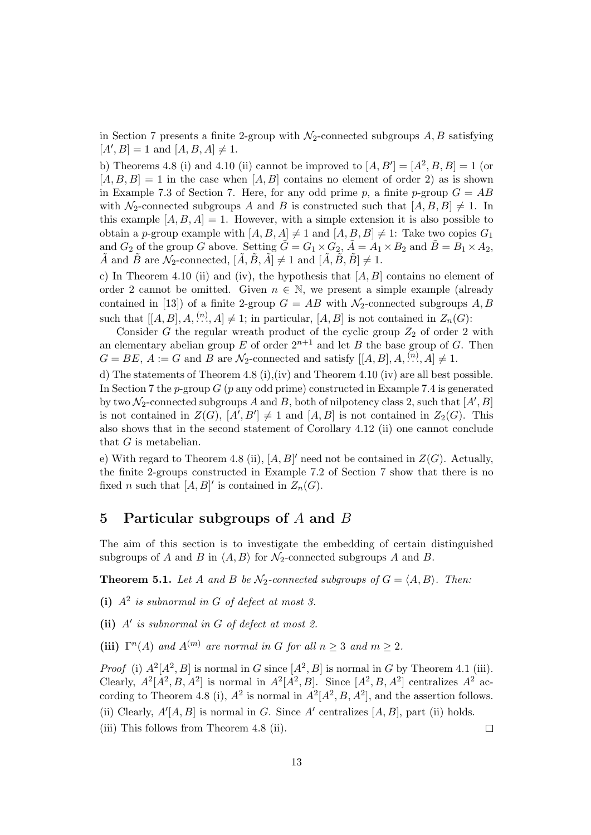in Section 7 presents a finite 2-group with  $\mathcal{N}_2$ -connected subgroups  $A, B$  satisfying  $[A', B] = 1$  and  $[A, B, A] \neq 1$ .

b) Theorems 4.8 (i) and 4.10 (ii) cannot be improved to  $[A, B'] = [A^2, B, B] = 1$  (or  $[A, B, B] = 1$  in the case when  $[A, B]$  contains no element of order 2) as is shown in Example 7.3 of Section 7. Here, for any odd prime  $p$ , a finite  $p$ -group  $G = AB$ with  $\mathcal{N}_2$ -connected subgroups *A* and *B* is constructed such that  $[A, B, B] \neq 1$ . In this example  $[A, B, A] = 1$ . However, with a simple extension it is also possible to obtain a *p*-group example with  $[A, B, A] \neq 1$  and  $[A, B, B] \neq 1$ : Take two copies  $G_1$ and  $G_2$  of the group *G* above. Setting  $\tilde{G} = G_1 \times G_2$ ,  $\tilde{A} = A_1 \times B_2$  and  $\tilde{B} = B_1 \times A_2$ ,  $\tilde{A}$  and  $\tilde{B}$  are  $\mathcal{N}_2$ -connected,  $[\tilde{A}, \tilde{B}, \tilde{A}] \neq 1$  and  $[\tilde{A}, \tilde{B}, \tilde{B}] \neq 1$ .

c) In Theorem 4.10 (ii) and (iv), the hypothesis that [*A, B*] contains no element of order 2 cannot be omitted. Given  $n \in \mathbb{N}$ , we present a simple example (already contained in [13]) of a finite 2-group  $G = AB$  with  $\mathcal{N}_2$ -connected subgroups  $A, B$ such that  $[[A, B], A, \ldots, A] \neq 1$ ; in particular,  $[A, B]$  is not contained in  $Z_n(G)$ :

Consider  $G$  the regular wreath product of the cyclic group  $Z_2$  of order 2 with an elementary abelian group  $E$  of order  $2^{n+1}$  and let  $B$  the base group of  $G$ . Then  $G = BE, A := G$  and *B* are  $\mathcal{N}_2$ -connected and satisfy  $[[A, B], A, \ldots, A] \neq 1$ .

d) The statements of Theorem 4.8 (i),(iv) and Theorem 4.10 (iv) are all best possible. In Section 7 the *p*-group *G* (*p* any odd prime) constructed in Example 7.4 is generated by two  $\mathcal{N}_2$ -connected subgroups  $A$  and  $B$ , both of nilpotency class 2, such that  $[A', B]$ is not contained in  $Z(G)$ ,  $[A', B'] \neq 1$  and  $[A, B]$  is not contained in  $Z_2(G)$ . This also shows that in the second statement of Corollary 4.12 (ii) one cannot conclude that *G* is metabelian.

e) With regard to Theorem 4.8 (ii),  $[A, B]'$  need not be contained in  $Z(G)$ . Actually, the finite 2-groups constructed in Example 7.2 of Section 7 show that there is no fixed *n* such that  $[A, B]'$  is contained in  $Z_n(G)$ .

### **5 Particular subgroups of** *A* **and** *B*

The aim of this section is to investigate the embedding of certain distinguished subgroups of *A* and *B* in  $\langle A, B \rangle$  for  $\mathcal{N}_2$ -connected subgroups *A* and *B*.

**Theorem 5.1.** Let *A* and *B* be  $\mathcal{N}_2$ -connected subgroups of  $G = \langle A, B \rangle$ . Then:

**(i)** *A*<sup>2</sup> *is subnormal in G of defect at most 3.*

**(ii)** *A′ is subnormal in G of defect at most 2.*

(iii)  $\Gamma^n(A)$  *and*  $A^{(m)}$  *are normal in G for all*  $n \geq 3$  *and*  $m \geq 2$ *.* 

*Proof* (i)  $A^2[A^2, B]$  is normal in *G* since  $[A^2, B]$  is normal in *G* by Theorem 4.1 (iii). Clearly,  $A^2[A^2, B, A^2]$  is normal in  $A^2[A^2, B]$ . Since  $[A^2, B, A^2]$  centralizes  $A^2$  according to Theorem 4.8 (i),  $A^2$  is normal in  $A^2[A^2, B, A^2]$ , and the assertion follows. (ii) Clearly,  $A' [A, B]$  is normal in *G*. Since  $A'$  centralizes  $[A, B]$ , part (ii) holds.

(iii) This follows from Theorem 4.8 (ii).

 $\Box$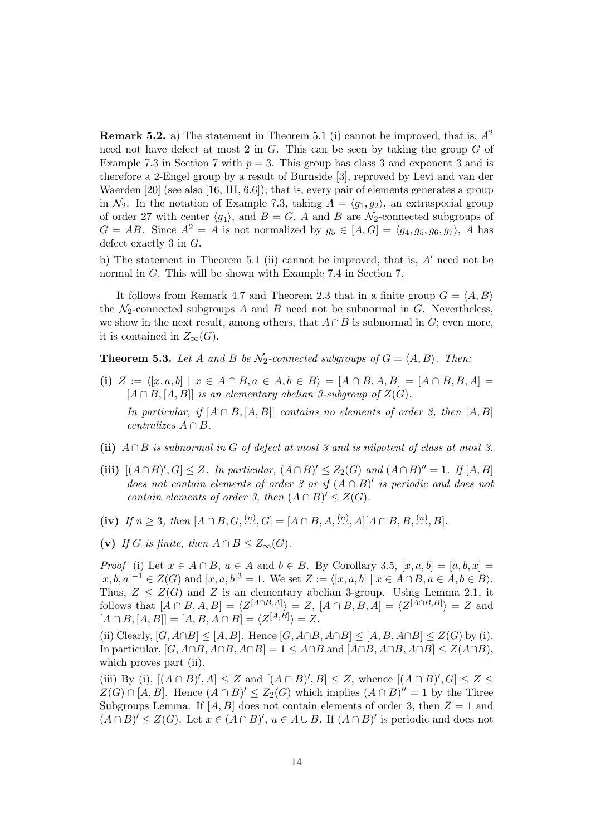**Remark 5.2.** a) The statement in Theorem 5.1 (i) cannot be improved, that is, *A*<sup>2</sup> need not have defect at most 2 in *G*. This can be seen by taking the group *G* of Example 7.3 in Section 7 with  $p = 3$ . This group has class 3 and exponent 3 and is therefore a 2-Engel group by a result of Burnside [3], reproved by Levi and van der Waerden [20] (see also [16, III, 6.6]); that is, every pair of elements generates a group in  $\mathcal{N}_2$ . In the notation of Example 7.3, taking  $A = \langle g_1, g_2 \rangle$ , an extraspecial group of order 27 with center  $\langle g_4 \rangle$ , and  $B = G$ , *A* and *B* are  $\mathcal{N}_2$ -connected subgroups of  $G = AB$ . Since  $A^2 = A$  is not normalized by  $g_5 \in [A, G] = \langle g_4, g_5, g_6, g_7 \rangle$ , *A* has defect exactly 3 in *G*.

b) The statement in Theorem 5.1 (ii) cannot be improved, that is, *A′* need not be normal in *G*. This will be shown with Example 7.4 in Section 7.

It follows from Remark 4.7 and Theorem 2.3 that in a finite group  $G = \langle A, B \rangle$ the  $N_2$ -connected subgroups *A* and *B* need not be subnormal in *G*. Nevertheless, we show in the next result, among others, that  $A \cap B$  is subnormal in  $G$ ; even more, it is contained in  $Z_{\infty}(G)$ .

**Theorem 5.3.** Let *A* and *B* be  $\mathcal{N}_2$ -connected subgroups of  $G = \langle A, B \rangle$ . Then:

- (i)  $Z := \langle [x, a, b] \mid x \in A \cap B, a \in A, b \in B \rangle = [A \cap B, A, B] = [A \cap B, B, A] =$  $[A \cap B, [A, B]]$  *is an elementary abelian 3-subgroup of*  $Z(G)$ *. In particular, if*  $[A \cap B, [A, B]]$  *contains no elements of order 3, then*  $[A, B]$  $centralizes A \cap B$ *.*
- **(ii)** *A ∩ B is subnormal in G of defect at most 3 and is nilpotent of class at most 3.*
- (iii)  $[(A \cap B)'$ ,  $G] \leq Z$ . In particular,  $(A \cap B)' \leq Z_2(G)$  and  $(A \cap B)'' = 1$ . If  $[A, B]$ *does not contain elements of order 3 or if*  $(A \cap B)'$  *is periodic and does not contain elements of order 3, then*  $(A \cap B)' \leq Z(G)$ *.*
- (iv) If  $n \ge 3$ , then  $[A \cap B, G, \ldots, G] = [A \cap B, A, \ldots, A][A \cap B, B, \ldots, B].$
- (v) *If G is finite, then*  $A \cap B \leq Z_{\infty}(G)$ *.*

*Proof* (i) Let  $x \in A \cap B$ ,  $a \in A$  and  $b \in B$ . By Corollary 3.5,  $[x, a, b] = [a, b, x] =$  $[x, b, a]^{-1} \in Z(G)$  and  $[x, a, b]^{3} = 1$ . We set  $Z := \langle [x, a, b] | x \in A \cap B, a \in A, b \in B \rangle$ . Thus,  $Z \leq Z(G)$  and *Z* is an elementary abelian 3-group. Using Lemma 2.1, it follows that  $[A \cap B, A, B] = \langle Z^{[A \cap B, A]} \rangle = Z$ ,  $[A \cap B, B, A] = \langle Z^{[A \cap B, B]} \rangle = Z$  and  $[A \cap B, [A, B]] = [A, B, A \cap B] = \langle Z^{[A, B]} \rangle = Z.$ 

(ii) Clearly,  $[G, A \cap B] \leq [A, B]$ . Hence  $[G, A \cap B, A \cap B] \leq [A, B, A \cap B] \leq Z(G)$  by (i). In particular,  $[G, A \cap B, A \cap B, A \cap B] = 1 \leq A \cap B$  and  $[A \cap B, A \cap B, A \cap B] \leq Z(A \cap B)$ , which proves part (ii).

(iii) By (i),  $[(A \cap B)'$ ,  $A] \leq Z$  and  $[(A \cap B)'$ ,  $B] \leq Z$ , whence  $[(A \cap B)'$ ,  $G] \leq Z \leq Z$  $Z(G) \cap [A, B]$ . Hence  $(A \cap B)' \leq Z_2(G)$  which implies  $(A \cap B)' = 1$  by the Three Subgroups Lemma. If  $[A, B]$  does not contain elements of order 3, then  $Z = 1$  and  $(A \cap B)' \leq Z(G)$ . Let  $x \in (A \cap B)'$ ,  $u \in A \cup B$ . If  $(A \cap B)'$  is periodic and does not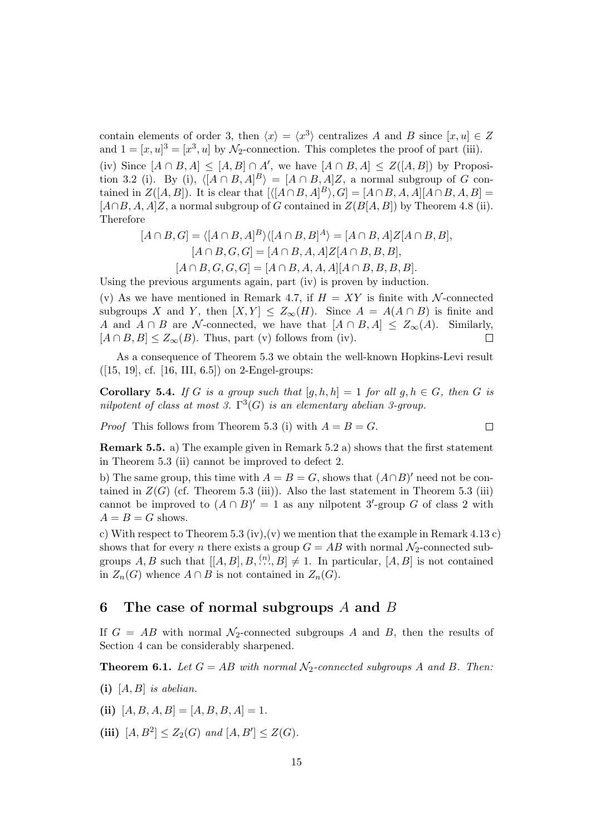contain elements of order 3, then  $\langle x \rangle = \langle x^3 \rangle$  centralizes *A* and *B* since  $[x, u] \in Z$ and  $1 = [x, u]^3 = [x^3, u]$  by  $\mathcal{N}_2$ -connection. This completes the proof of part (iii).

(iv) Since  $[A \cap B, A] \leq [A, B] \cap A'$ , we have  $[A \cap B, A] \leq Z([A, B])$  by Proposition 3.2 (i). By (i),  $\langle [A \cap B, A]^B \rangle = [A \cap B, A]Z$ , a normal subgroup of *G* contained in  $Z([A, B])$ . It is clear that  $[\langle [A \cap B, A]^B \rangle, G] = [A \cap B, A, A][A \cap B, A, B] =$  $[A \cap B, A, A]Z$ , a normal subgroup of *G* contained in  $Z(B[A, B])$  by Theorem 4.8 (ii). Therefore

$$
[A \cap B, G] = \langle [A \cap B, A]^B \rangle \langle [A \cap B, B]^A \rangle = [A \cap B, A]Z[A \cap B, B],
$$
  
\n
$$
[A \cap B, G, G] = [A \cap B, A, A]Z[A \cap B, B, B],
$$
  
\n
$$
[A \cap B, G, G, G] = [A \cap B, A, A, A][A \cap B, B, B, B].
$$

Using the previous arguments again, part (iv) is proven by induction.

(v) As we have mentioned in Remark 4.7, if  $H = XY$  is finite with *N*-connected subgroups *X* and *Y*, then  $[X, Y] \leq Z_{\infty}(H)$ . Since  $A = A(A \cap B)$  is finite and *A* and *A*  $\cap$  *B* are *N*-connected, we have that  $[A \cap B, A] \leq Z_{\infty}(A)$ . Similarly,  $[A \cap B, B] \leq Z_{\infty}(B)$ . Thus, part (v) follows from (iv).  $[A \cap B, B] \leq Z_{\infty}(B)$ . Thus, part (v) follows from (iv).

As a consequence of Theorem 5.3 we obtain the well-known Hopkins-Levi result  $([15, 19], cf. [16, III, 6.5])$  on 2-Engel-groups:

**Corollary 5.4.** *If G is a group such that*  $[g, h, h] = 1$  *for all*  $g, h \in G$ *, then G is nilpotent of class at most 3.*  $\Gamma^3(G)$  *is an elementary abelian 3-group.* 

*Proof* This follows from Theorem 5.3 (i) with  $A = B = G$ .  $\Box$ 

**Remark 5.5.** a) The example given in Remark 5.2 a) shows that the first statement in Theorem 5.3 (ii) cannot be improved to defect 2.

b) The same group, this time with  $A = B = G$ , shows that  $(A \cap B)'$  need not be contained in  $Z(G)$  (cf. Theorem 5.3 (iii)). Also the last statement in Theorem 5.3 (iii) cannot be improved to  $(A \cap B)' = 1$  as any nilpotent 3'-group G of class 2 with  $A = B = G$  shows.

c) With respect to Theorem 5.3 (iv), (v) we mention that the example in Remark 4.13 c) shows that for every *n* there exists a group  $G = AB$  with normal  $\mathcal{N}_2$ -connected subgroups  $A, B$  such that  $[[A, B], B, \binom{n}{k}, B] \neq 1$ . In particular,  $[A, B]$  is not contained in  $Z_n(G)$  whence  $A \cap B$  is not contained in  $Z_n(G)$ .

#### **6 The case of normal subgroups** *A* **and** *B*

If  $G = AB$  with normal  $\mathcal{N}_2$ -connected subgroups *A* and *B*, then the results of Section 4 can be considerably sharpened.

**Theorem 6.1.** *Let*  $G = AB$  *with normal*  $\mathcal{N}_2$ -connected subgroups A and B. Then:

- **(i)** [*A, B*] *is abelian.*
- (ii)  $[A, B, A, B] = [A, B, B, A] = 1.$
- (iii)  $[A, B^2] \le Z_2(G)$  *and*  $[A, B'] \le Z(G)$ *.*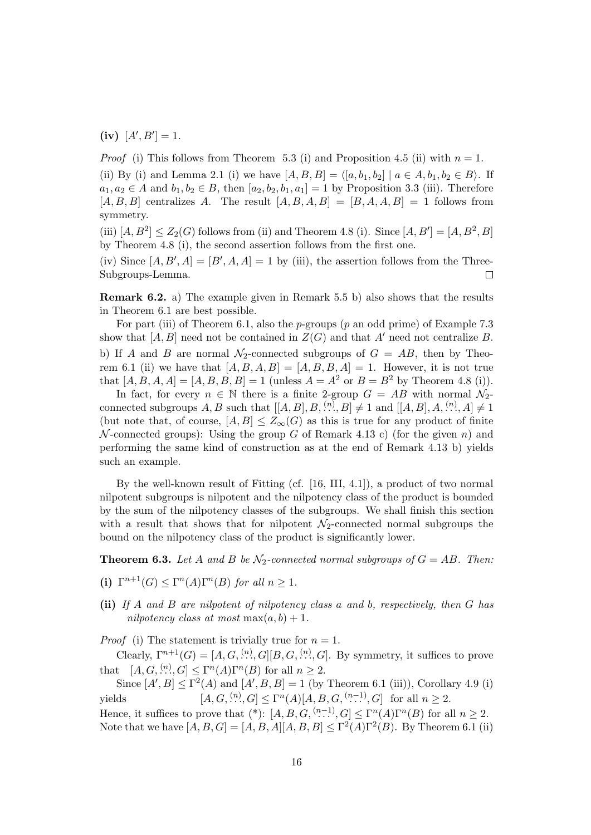$(K)$   $[A', B'] = 1$ *.* 

*Proof* (i) This follows from Theorem 5.3 (i) and Proposition 4.5 (ii) with  $n = 1$ .

(ii) By (i) and Lemma 2.1 (i) we have  $[A, B, B] = \langle [a, b_1, b_2] | a \in A, b_1, b_2 \in B \rangle$ . If *a*<sub>1</sub>*, a*<sub>2</sub> ∈ *A* and *b*<sub>1</sub>*, b*<sub>2</sub> ∈ *B,* then [*a*<sub>2</sub>*, b*<sub>2</sub>*, b*<sub>1</sub>*, a*<sub>1</sub>] = 1 by Proposition 3.3 (iii). Therefore  $[A, B, B]$  centralizes *A*. The result  $[A, B, A, B] = [B, A, A, B] = 1$  follows from symmetry.

(iii)  $[A, B^2] \le Z_2(G)$  follows from (ii) and Theorem 4.8 (i). Since  $[A, B'] = [A, B^2, B]$ by Theorem 4.8 (i), the second assertion follows from the first one.

(iv) Since  $[A, B', A] = [B', A, A] = 1$  by (iii), the assertion follows from the Three-Subgroups-Lemma.  $\Box$ 

**Remark 6.2.** a) The example given in Remark 5.5 b) also shows that the results in Theorem 6.1 are best possible.

For part (iii) of Theorem 6.1, also the *p*-groups (*p* an odd prime) of Example 7.3 show that  $[A, B]$  need not be contained in  $Z(G)$  and that  $A'$  need not centralize  $B$ . b) If *A* and *B* are normal  $\mathcal{N}_2$ -connected subgroups of  $G = AB$ , then by Theorem 6.1 (ii) we have that  $[A, B, A, B] = [A, B, B, A] = 1$ . However, it is not true that  $[A, B, A, A] = [A, B, B, B] = 1$  (unless  $A = A^2$  or  $B = B^2$  by Theorem 4.8 (i)).

In fact, for every  $n \in \mathbb{N}$  there is a finite 2-group  $G = AB$  with normal  $\mathcal{N}_2$ connected subgroups  $A, B$  such that  $[[A, B], B, \ldots, B] \neq 1$  and  $[[A, B], A, \ldots, A] \neq 1$ (but note that, of course,  $[A, B] \leq Z_{\infty}(G)$  as this is true for any product of finite *N* -connected groups): Using the group *G* of Remark 4.13 c) (for the given *n*) and performing the same kind of construction as at the end of Remark 4.13 b) yields such an example.

By the well-known result of Fitting (cf. [16, III, 4.1]), a product of two normal nilpotent subgroups is nilpotent and the nilpotency class of the product is bounded by the sum of the nilpotency classes of the subgroups. We shall finish this section with a result that shows that for nilpotent  $\mathcal{N}_2$ -connected normal subgroups the bound on the nilpotency class of the product is significantly lower.

**Theorem 6.3.** Let A and B be  $\mathcal{N}_2$ -connected normal subgroups of  $G = AB$ . Then:

- **(i)**  $\Gamma^{n+1}(G) \leq \Gamma^n(A)\Gamma^n(B)$  *for all*  $n \geq 1$ *.*
- **(ii)** *If A and B are nilpotent of nilpotency class a and b, respectively, then G has nilpotency class at most*  $max(a, b) + 1$ .

*Proof* (i) The statement is trivially true for  $n = 1$ .

Clearly,  $\Gamma^{n+1}(G) = [A, G, \ldots, G][B, G, \ldots, G]$ . By symmetry, it suffices to prove that  $[A, G, \stackrel{(n)}{\ldots}, G] \leq \Gamma^n(A)\Gamma^n(B)$  for all  $n \geq 2$ .

Since  $[A', B] \le \Gamma^2(A)$  and  $[A', B, B] = 1$  (by Theorem 6.1 (iii)), Corollary 4.9 (i) yields  $[A, G, \frac{(n)}{n}, G] \le \Gamma^n(A)[A, B, G, \frac{(n-1)}{n}, G]$  for all  $n \ge 2$ .

Hence, it suffices to prove that  $(*)$ :  $[A, B, G, \stackrel{(n-1)}{\ldots}, G] \leq \Gamma^n(A)\Gamma^n(B)$  for all  $n \geq 2$ . Note that we have  $[A, B, G] = [A, B, A][A, B, B] \le \Gamma^2(A)\Gamma^2(B)$ . By Theorem 6.1 (ii)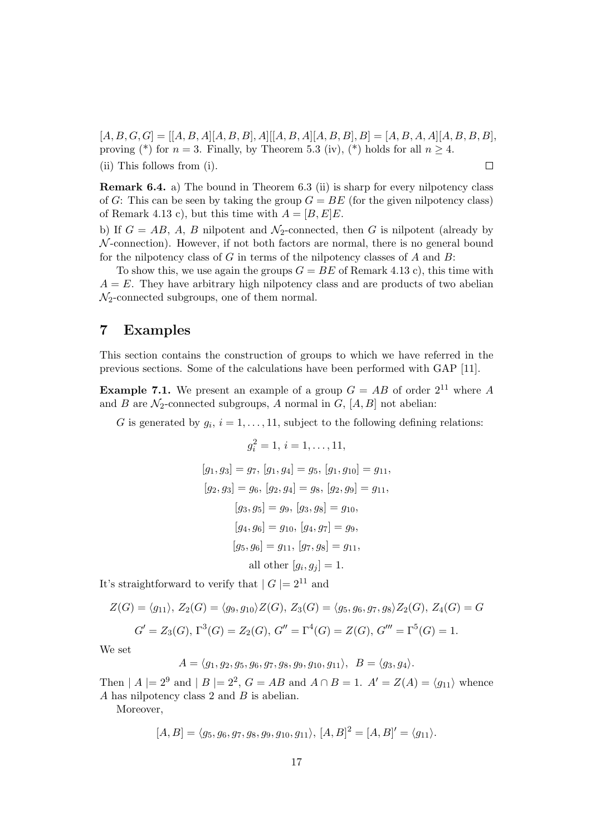$[A, B, G, G] = [[A, B, A][A, B, B], A][[A, B, A][A, B, B], B] = [A, B, A, A][A, B, B, B],$ proving (\*) for  $n = 3$ . Finally, by Theorem 5.3 (iv), (\*) holds for all  $n \geq 4$ . (ii) This follows from (i).  $\Box$ 

**Remark 6.4.** a) The bound in Theorem 6.3 (ii) is sharp for every nilpotency class of *G*: This can be seen by taking the group  $G = BE$  (for the given nilpotency class) of Remark 4.13 c), but this time with  $A = [B, E]E$ .

b) If  $G = AB$ , A, B nilpotent and  $\mathcal{N}_2$ -connected, then G is nilpotent (already by *N* -connection). However, if not both factors are normal, there is no general bound for the nilpotency class of *G* in terms of the nilpotency classes of *A* and *B*:

To show this, we use again the groups  $G = BE$  of Remark 4.13 c), this time with  $A = E$ . They have arbitrary high nilpotency class and are products of two abelian *N*2-connected subgroups, one of them normal.

#### **7 Examples**

This section contains the construction of groups to which we have referred in the previous sections. Some of the calculations have been performed with GAP [11].

**Example 7.1.** We present an example of a group  $G = AB$  of order  $2^{11}$  where *A* and *B* are  $\mathcal{N}_2$ -connected subgroups, *A* normal in *G*,  $[A, B]$  not abelian:

*G* is generated by  $g_i$ ,  $i = 1, \ldots, 11$ , subject to the following defining relations:

$$
g_i^2 = 1, i = 1, ..., 11,
$$
  
\n
$$
[g_1, g_3] = g_7, [g_1, g_4] = g_5, [g_1, g_{10}] = g_{11},
$$
  
\n
$$
[g_2, g_3] = g_6, [g_2, g_4] = g_8, [g_2, g_9] = g_{11},
$$
  
\n
$$
[g_3, g_5] = g_9, [g_3, g_8] = g_{10},
$$
  
\n
$$
[g_4, g_6] = g_{10}, [g_4, g_7] = g_9,
$$
  
\n
$$
[g_5, g_6] = g_{11}, [g_7, g_8] = g_{11},
$$
  
\nall other  $[g_i, g_j] = 1.$ 

It's straightforward to verify that  $|G| = 2^{11}$  and

$$
Z(G) = \langle g_{11} \rangle, Z_2(G) = \langle g_9, g_{10} \rangle Z(G), Z_3(G) = \langle g_5, g_6, g_7, g_8 \rangle Z_2(G), Z_4(G) = G
$$
  

$$
G' = Z_3(G), \Gamma^3(G) = Z_2(G), G'' = \Gamma^4(G) = Z(G), G''' = \Gamma^5(G) = 1.
$$

We set

$$
A = \langle g_1, g_2, g_5, g_6, g_7, g_8, g_9, g_{10}, g_{11} \rangle, \ B = \langle g_3, g_4 \rangle.
$$

Then  $|A| = 2^9$  and  $|B| = 2^2$ ,  $G = AB$  and  $A \cap B = 1$ .  $A' = Z(A) = \langle g_{11} \rangle$  whence *A* has nilpotency class 2 and *B* is abelian.

Moreover,

$$
[A, B] = \langle g_5, g_6, g_7, g_8, g_9, g_{10}, g_{11} \rangle, [A, B]^2 = [A, B]' = \langle g_{11} \rangle.
$$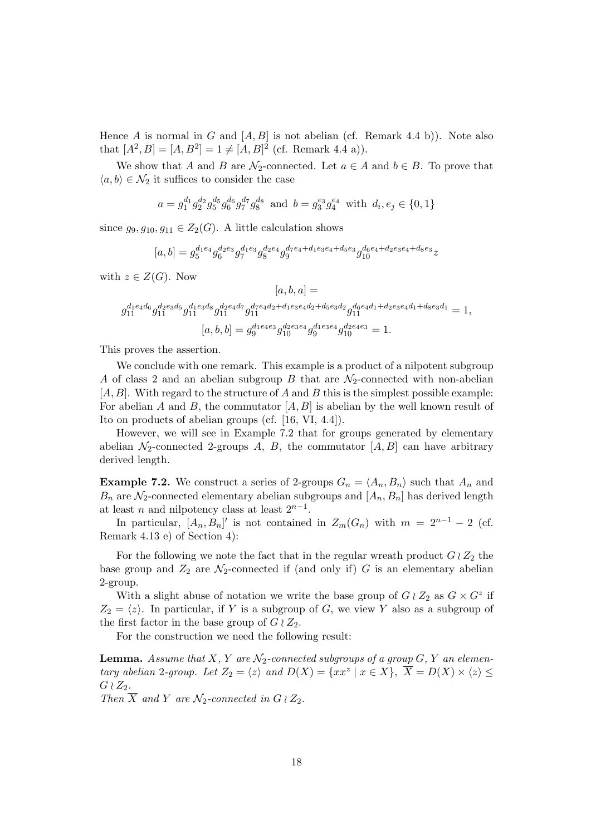Hence *A* is normal in *G* and  $[A, B]$  is not abelian (cf. Remark 4.4 b)). Note also that  $[A^2, B] = [A, B^2] = 1 \neq [A, B]^2$  (cf. Remark 4.4 a)).

We show that *A* and *B* are  $\mathcal{N}_2$ -connected. Let  $a \in A$  and  $b \in B$ . To prove that  $\langle a, b \rangle \in \mathcal{N}_2$  it suffices to consider the case

$$
a = g_1^{d_1} g_2^{d_2} g_5^{d_5} g_6^{d_6} g_7^{d_7} g_8^{d_8} \text{ and } b = g_3^{e_3} g_4^{e_4} \text{ with } d_i, e_j \in \{0, 1\}
$$

since  $g_9, g_{10}, g_{11} \in Z_2(G)$ . A little calculation shows

$$
[a,b]=g_5^{d_1e_4}g_6^{d_2e_3}g_7^{d_1e_3}g_8^{d_2e_4}g_9^{d_7e_4+d_1e_3e_4+d_5e_3}g_{10}^{d_6e_4+d_2e_3e_4+d_8e_3}z
$$

with  $z \in Z(G)$ . Now

$$
[a, b, a] =
$$
  
\n
$$
g_{11}^{d_1e_4d_6}g_{11}^{d_2e_3d_5}g_{11}^{d_1e_3d_8}g_{11}^{d_2e_4d_7}g_{11}^{d_7e_4d_2 + d_1e_3e_4d_2 + d_5e_3d_2}g_{11}^{d_6e_4d_1 + d_2e_3e_4d_1 + d_8e_3d_1} = 1,
$$
  
\n
$$
[a, b, b] = g_9^{d_1e_4e_3}g_{10}^{d_2e_3e_4}g_9^{d_1e_3e_4}g_{10}^{d_2e_4e_3} = 1.
$$

This proves the assertion.

We conclude with one remark. This example is a product of a nilpotent subgroup *A* of class 2 and an abelian subgroup *B* that are *N*2-connected with non-abelian [*A, B*]. With regard to the structure of *A* and *B* this is the simplest possible example: For abelian *A* and *B*, the commutator  $[A, B]$  is abelian by the well known result of Ito on products of abelian groups (cf. [16, VI, 4.4]).

However, we will see in Example 7.2 that for groups generated by elementary abelian  $\mathcal{N}_2$ -connected 2-groups *A*, *B*, the commutator  $[A, B]$  can have arbitrary derived length.

**Example 7.2.** We construct a series of 2-groups  $G_n = \langle A_n, B_n \rangle$  such that  $A_n$  and  $B_n$  are  $\mathcal{N}_2$ -connected elementary abelian subgroups and  $[A_n, B_n]$  has derived length at least *n* and nilpotency class at least  $2^{n-1}$ .

In particular,  $[A_n, B_n]'$  is not contained in  $Z_m(G_n)$  with  $m = 2^{n-1} - 2$  (cf. Remark 4.13 e) of Section 4):

For the following we note the fact that in the regular wreath product  $G \wr Z_2$  the base group and  $Z_2$  are  $\mathcal{N}_2$ -connected if (and only if)  $G$  is an elementary abelian 2-group.

With a slight abuse of notation we write the base group of  $G \wr Z_2$  as  $G \times G^z$  if  $Z_2 = \langle z \rangle$ . In particular, if *Y* is a subgroup of *G*, we view *Y* also as a subgroup of the first factor in the base group of  $G \wr Z_2$ .

For the construction we need the following result:

**Lemma.** Assume that  $X, Y$  are  $\mathcal{N}_2$ -connected subgroups of a group  $G, Y$  an elementary abelian 2-group. Let  $Z_2 = \langle z \rangle$  and  $D(X) = \{xx^z | x \in X\}$ ,  $\overline{X} = D(X) \times \langle z \rangle \le$  $G$  *≀*  $Z_2$ *.* 

*Then*  $\overline{X}$  *and*  $Y$  *are*  $\mathcal{N}_2$ *-connected in*  $G \wr Z_2$ *.*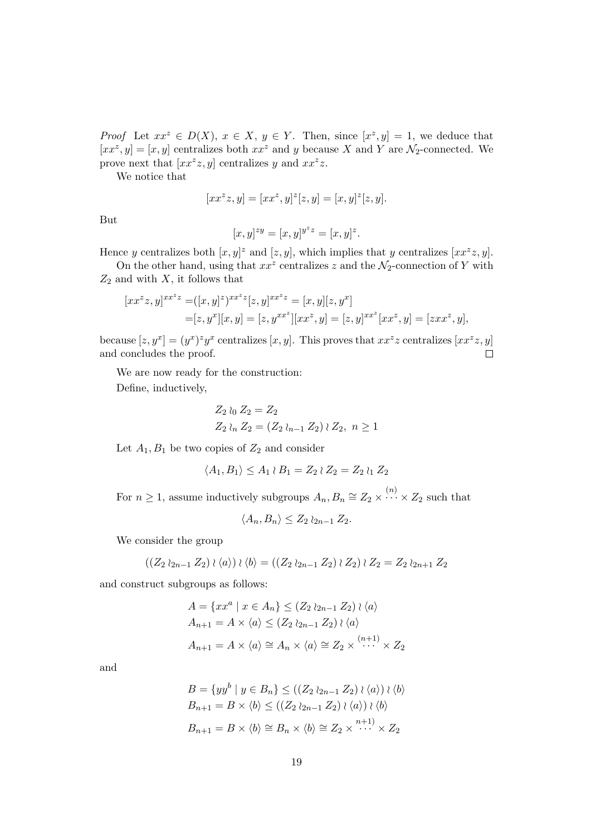*Proof* Let  $xx^z \in D(X)$ ,  $x \in X$ ,  $y \in Y$ . Then, since  $[x^z, y] = 1$ , we deduce that  $[xx^z, y] = [x, y]$  centralizes both  $xx^z$  and *y* because *X* and *Y* are  $\mathcal{N}_2$ -connected. We prove next that  $[xx^z z, y]$  centralizes *y* and  $xx^z z$ .

We notice that

$$
[xx^zz,y]=[xx^z,y]^z[z,y]=[x,y]^z[z,y].
$$

But

$$
[x,y]^{zy} = [x,y]^{y^z z} = [x,y]^z.
$$

Hence *y* centralizes both  $[x, y]^z$  and  $[z, y]$ , which implies that *y* centralizes  $[x x^z z, y]$ .

On the other hand, using that  $xx^z$  centralizes  $z$  and the  $\mathcal{N}_2$ -connection of  $Y$  with *Z*<sup>2</sup> and with *X*, it follows that

$$
[xx^{z}z, y]^{xx^{z}z} = ([x, y]^{z})^{xx^{z}z} [z, y]^{xx^{z}z} = [x, y][z, y^{x}]
$$
  
= [z, y^{x}][x, y] = [z, y^{xx^{z}}][xx^{z}, y] = [z, y]^{xx^{z}}[xx^{z}, y] = [zxx^{z}, y],

because  $[z, y^x] = (y^x)^z y^x$  centralizes  $[x, y]$ . This proves that  $xx^z z$  centralizes  $[xx^z z, y]$ and concludes the proof.  $\Box$ 

We are now ready for the construction:

Define, inductively,

$$
Z_2 \wr_0 Z_2 = Z_2
$$
  
\n
$$
Z_2 \wr_n Z_2 = (Z_2 \wr_{n-1} Z_2) \wr Z_2, n \ge 1
$$

Let  $A_1, B_1$  be two copies of  $Z_2$  and consider

$$
\langle A_1, B_1 \rangle \le A_1 \wr B_1 = Z_2 \wr Z_2 = Z_2 \wr Z_2
$$

For  $n \geq 1$ , assume inductively subgroups  $A_n, B_n \cong Z_2 \times \cdots \times Z_2$  such that

$$
\langle A_n, B_n \rangle \leq Z_2 \wr_{2n-1} Z_2.
$$

We consider the group

$$
((Z_2 \wr_{2n-1} Z_2) \wr \langle a \rangle) \wr \langle b \rangle = ((Z_2 \wr_{2n-1} Z_2) \wr Z_2) \wr Z_2 = Z_2 \wr_{2n+1} Z_2
$$

and construct subgroups as follows:

$$
A = \{xx^a \mid x \in A_n\} \le (Z_2 \wr_{2n-1} Z_2) \wr \langle a \rangle
$$
  
\n
$$
A_{n+1} = A \times \langle a \rangle \le (Z_2 \wr_{2n-1} Z_2) \wr \langle a \rangle
$$
  
\n
$$
A_{n+1} = A \times \langle a \rangle \cong A_n \times \langle a \rangle \cong Z_2 \times \cdots \times Z_2
$$

and

$$
B = \{yy^b \mid y \in B_n\} \le ((Z_2 \wr_{2n-1} Z_2) \wr \langle a \rangle) \wr \langle b \rangle
$$
  
\n
$$
B_{n+1} = B \times \langle b \rangle \le ((Z_2 \wr_{2n-1} Z_2) \wr \langle a \rangle) \wr \langle b \rangle
$$
  
\n
$$
B_{n+1} = B \times \langle b \rangle \cong B_n \times \langle b \rangle \cong Z_2 \times \cdots \times Z_2
$$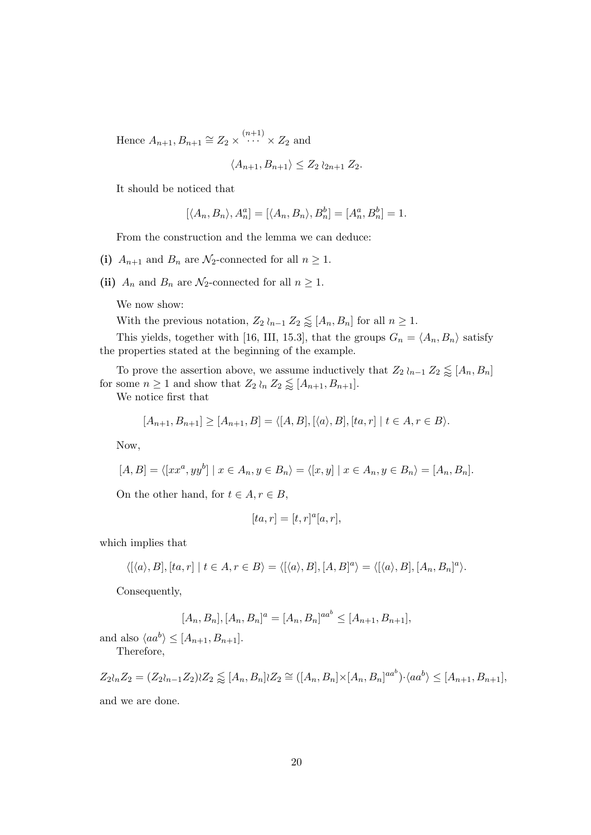Hence  $A_{n+1}, B_{n+1} \cong Z_2 \times \cdots \times Z_2$  and

$$
\langle A_{n+1}, B_{n+1} \rangle \le Z_2 \wr_{2n+1} Z_2.
$$

It should be noticed that

$$
[\langle A_n, B_n \rangle, A_n^a] = [\langle A_n, B_n \rangle, B_n^b] = [A_n^a, B_n^b] = 1.
$$

From the construction and the lemma we can deduce:

(i)  $A_{n+1}$  and  $B_n$  are  $\mathcal{N}_2$ -connected for all  $n \geq 1$ .

(ii)  $A_n$  and  $B_n$  are  $\mathcal{N}_2$ -connected for all  $n \geq 1$ .

We now show:

With the previous notation,  $Z_2 \wr_{n-1} Z_2 \lessapprox [A_n, B_n]$  for all  $n \geq 1$ .

This yields, together with [16, III, 15.3], that the groups  $G_n = \langle A_n, B_n \rangle$  satisfy the properties stated at the beginning of the example.

To prove the assertion above, we assume inductively that  $Z_2 \wr_{n-1} Z_2 \lessapprox [A_n, B_n]$ for some  $n \geq 1$  and show that  $Z_2 \wr_n Z_2 \lessapprox [A_{n+1}, B_{n+1}]$ .

We notice first that

$$
[A_{n+1}, B_{n+1}] \geq [A_{n+1}, B] = \langle [A, B], [\langle a \rangle, B], [ta, r] \mid t \in A, r \in B \rangle.
$$

Now,

$$
[A, B] = \langle [xx^a, yy^b] \mid x \in A_n, y \in B_n \rangle = \langle [x, y] \mid x \in A_n, y \in B_n \rangle = [A_n, B_n].
$$

On the other hand, for  $t \in A, r \in B$ ,

$$
[ta,r]=[t,r]^a[a,r],\quad
$$

which implies that

$$
\langle [\langle a \rangle, B], [ta, r] \mid t \in A, r \in B \rangle = \langle [\langle a \rangle, B], [A, B]^a \rangle = \langle [\langle a \rangle, B], [A_n, B_n]^a \rangle.
$$

Consequently,

$$
[A_n, B_n], [A_n, B_n]^a = [A_n, B_n]^{aa^b} \leq [A_{n+1}, B_{n+1}],
$$

and also  $\langle aa^b \rangle \leq [A_{n+1}, B_{n+1}].$ Therefore,

$$
Z_2l_nZ_2 = (Z_2l_{n-1}Z_2)lZ_2 \lessapprox [A_n, B_n]lZ_2 \cong ([A_n, B_n] \times [A_n, B_n]^{aa^b}) \cdot \langle aa^b \rangle \leq [A_{n+1}, B_{n+1}],
$$

and we are done.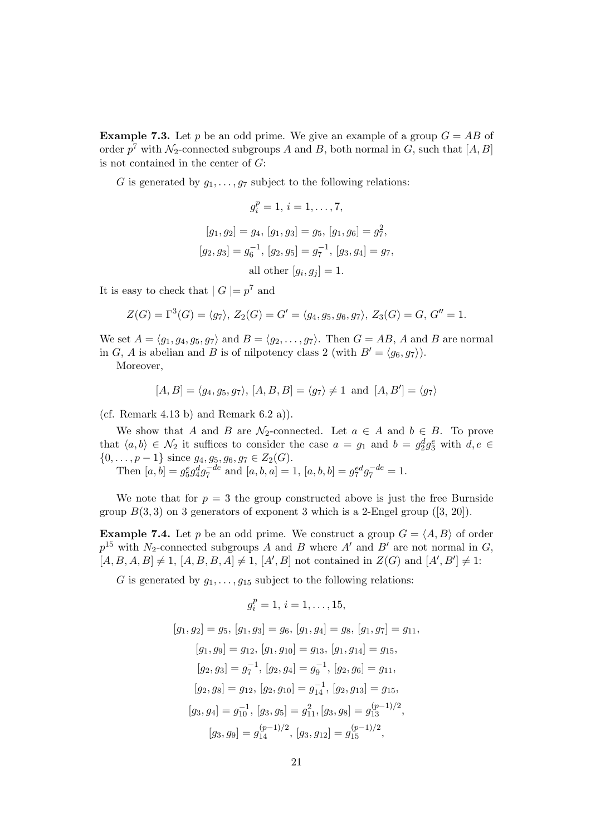**Example 7.3.** Let *p* be an odd prime. We give an example of a group  $G = AB$  of order  $p^7$  with  $\mathcal{N}_2$ -connected subgroups *A* and *B*, both normal in *G*, such that  $[A, B]$ is not contained in the center of *G*:

*G* is generated by  $g_1, \ldots, g_7$  subject to the following relations:

$$
g_i^p = 1, \, i = 1, \dots, 7,
$$
  
\n
$$
[g_1, g_2] = g_4, \, [g_1, g_3] = g_5, \, [g_1, g_6] = g_7^2,
$$
  
\n
$$
[g_2, g_3] = g_6^{-1}, \, [g_2, g_5] = g_7^{-1}, \, [g_3, g_4] = g_7,
$$
  
\nall other 
$$
[g_i, g_j] = 1.
$$

It is easy to check that  $|G| = p^7$  and

$$
Z(G) = \Gamma^{3}(G) = \langle g_{7} \rangle, Z_{2}(G) = G' = \langle g_{4}, g_{5}, g_{6}, g_{7} \rangle, Z_{3}(G) = G, G'' = 1.
$$

We set  $A = \langle g_1, g_4, g_5, g_7 \rangle$  and  $B = \langle g_2, \dots, g_7 \rangle$ . Then  $G = AB$ , A and B are normal in *G*, *A* is abelian and *B* is of nilpotency class 2 (with  $B' = \langle g_6, g_7 \rangle$ ).

Moreover,

$$
[A, B] = \langle g_4, g_5, g_7 \rangle, [A, B, B] = \langle g_7 \rangle \neq 1 \text{ and } [A, B'] = \langle g_7 \rangle
$$

(cf. Remark 4.13 b) and Remark  $(6.2 \text{ a})$ ).

We show that *A* and *B* are  $\mathcal{N}_2$ -connected. Let  $a \in A$  and  $b \in B$ . To prove that  $\langle a, b \rangle \in \mathcal{N}_2$  it suffices to consider the case  $a = g_1$  and  $b = g_2^d g_3^e$  with  $d, e \in$ *{*0*, . . . , p −* 1*}* since *g*4*, g*5*, g*6*, g*<sup>7</sup> *∈ Z*2(*G*).

Then  $[a, b] = g_5^e g_4^d g_7^{-de}$  and  $[a, b, a] = 1$ ,  $[a, b, b] = g_7^{ed} g_7^{-de} = 1$ .

We note that for  $p = 3$  the group constructed above is just the free Burnside group  $B(3,3)$  on 3 generators of exponent 3 which is a 2-Engel group  $([3, 20])$ .

**Example 7.4.** Let *p* be an odd prime. We construct a group  $G = \langle A, B \rangle$  of order  $p^{15}$  with *N*<sub>2</sub>-connected subgroups *A* and *B* where *A'* and *B'* are not normal in *G*,  $[A, B, A, B] \neq 1$ ,  $[A, B, B, A] \neq 1$ ,  $[A', B]$  not contained in  $Z(G)$  and  $[A', B'] \neq 1$ :

*G* is generated by  $g_1, \ldots, g_{15}$  subject to the following relations:

$$
g_i^p = 1, \, i = 1, \ldots, 15,
$$
  
\n
$$
[g_1, g_2] = g_5, \, [g_1, g_3] = g_6, \, [g_1, g_4] = g_8, \, [g_1, g_7] = g_{11},
$$
  
\n
$$
[g_1, g_9] = g_{12}, \, [g_1, g_{10}] = g_{13}, \, [g_1, g_{14}] = g_{15},
$$
  
\n
$$
[g_2, g_3] = g_7^{-1}, \, [g_2, g_4] = g_9^{-1}, \, [g_2, g_6] = g_{11},
$$
  
\n
$$
[g_2, g_8] = g_{12}, \, [g_2, g_{10}] = g_{14}^{-1}, \, [g_2, g_{13}] = g_{15},
$$
  
\n
$$
[g_3, g_4] = g_{10}^{-1}, \, [g_3, g_5] = g_{11}^2, [g_3, g_8] = g_{13}^{(p-1)/2},
$$
  
\n
$$
[g_3, g_9] = g_{14}^{(p-1)/2}, \, [g_3, g_{12}] = g_{15}^{(p-1)/2},
$$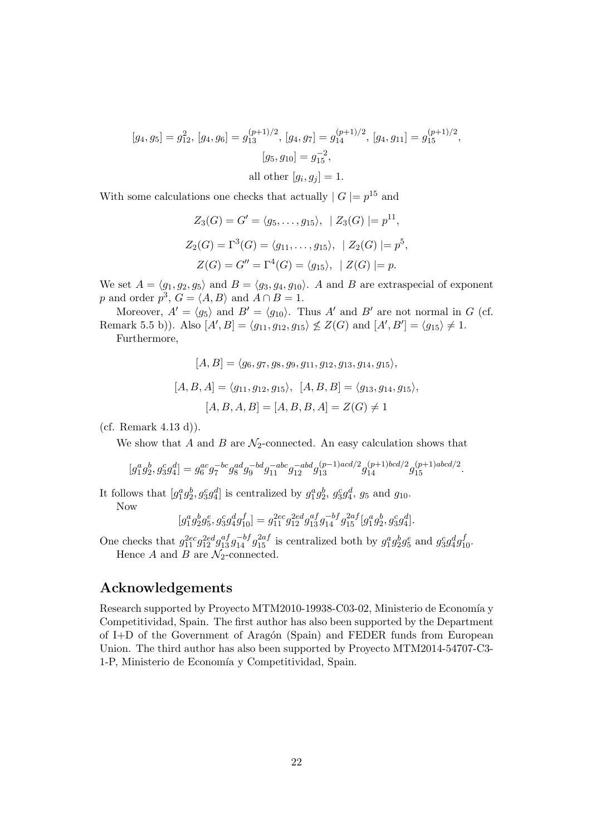$$
[g_4, g_5] = g_{12}^2, [g_4, g_6] = g_{13}^{(p+1)/2}, [g_4, g_7] = g_{14}^{(p+1)/2}, [g_4, g_{11}] = g_{15}^{(p+1)/2},
$$

$$
[g_5, g_{10}] = g_{15}^{-2},
$$
all other  $[g_i, g_j] = 1.$ 

With some calculations one checks that actually  $|G| = p^{15}$  and

$$
Z_3(G) = G' = \langle g_5, \dots, g_{15} \rangle, \ |Z_3(G)| = p^{11},
$$
  
\n
$$
Z_2(G) = \Gamma^3(G) = \langle g_{11}, \dots, g_{15} \rangle, \ |Z_2(G)| = p^5,
$$
  
\n
$$
Z(G) = G'' = \Gamma^4(G) = \langle g_{15} \rangle, \ |Z(G)| = p.
$$

We set  $A = \langle g_1, g_2, g_5 \rangle$  and  $B = \langle g_3, g_4, g_{10} \rangle$ . *A* and *B* are extraspecial of exponent *p* and order  $p^3$ ,  $G = \langle A, B \rangle$  and  $A \cap B = 1$ .

Moreover,  $A' = \langle g_5 \rangle$  and  $B' = \langle g_{10} \rangle$ . Thus  $A'$  and  $B'$  are not normal in  $G$  (cf. Remark 5.5 b)). Also  $[A', B] = \langle g_{11}, g_{12}, g_{15} \rangle \nleq Z(G)$  and  $[A', B'] = \langle g_{15} \rangle \neq 1$ . Furthermore,

$$
[A, B] = \langle g_6, g_7, g_8, g_9, g_{11}, g_{12}, g_{13}, g_{14}, g_{15} \rangle,
$$
  

$$
[A, B, A] = \langle g_{11}, g_{12}, g_{15} \rangle, [A, B, B] = \langle g_{13}, g_{14}, g_{15} \rangle,
$$
  

$$
[A, B, A, B] = [A, B, B, A] = Z(G) \neq 1
$$

(cf. Remark 4.13 d)).

We show that  $A$  and  $B$  are  $\mathcal{N}_2$ -connected. An easy calculation shows that

$$
[g_1^a g_2^b, g_3^c g_4^d]=g_6^{ac}g_7^{-bc}g_8^{ad}g_9^{-bd}g_{11}^{-abc}g_{12}^{-abd}g_{13}^{(p-1)acd/2}g_{14}^{(p+1)bcd/2}g_{15}^{(p+1)abcd/2}.
$$

It follows that  $[g_1^a g_2^b, g_3^c g_4^d]$  is centralized by  $g_1^a g_2^b, g_3^c g_4^d, g_5$  and  $g_{10}$ .

Now

$$
[g_1^a g_2^b g_5^e, g_3^c g_4^d g_{10}^f] = g_{11}^{2ec} g_{12}^{2ed} g_{13}^{af} g_{14}^{-bf} g_{15}^{2af} [g_1^a g_2^b, g_3^c g_4^d].
$$

One checks that  $g_{11}^{2ec}g_{12}^{2ed}g_{13}^{af}g_{14}^{-bf}g_{15}^{2af}$  is centralized both by  $g_1^ag_2^bg_5^e$  and  $g_3^cg_4^dg_{10}^f$ . Hence *A* and *B* are  $\mathcal{N}_2$ -connected.

#### **Acknowledgements**

Research supported by Proyecto MTM2010-19938-C03-02, Ministerio de Economía y Competitividad, Spain. The first author has also been supported by the Department of I+D of the Government of Arag´on (Spain) and FEDER funds from European Union. The third author has also been supported by Proyecto MTM2014-54707-C3- 1-P, Ministerio de Economía y Competitividad, Spain.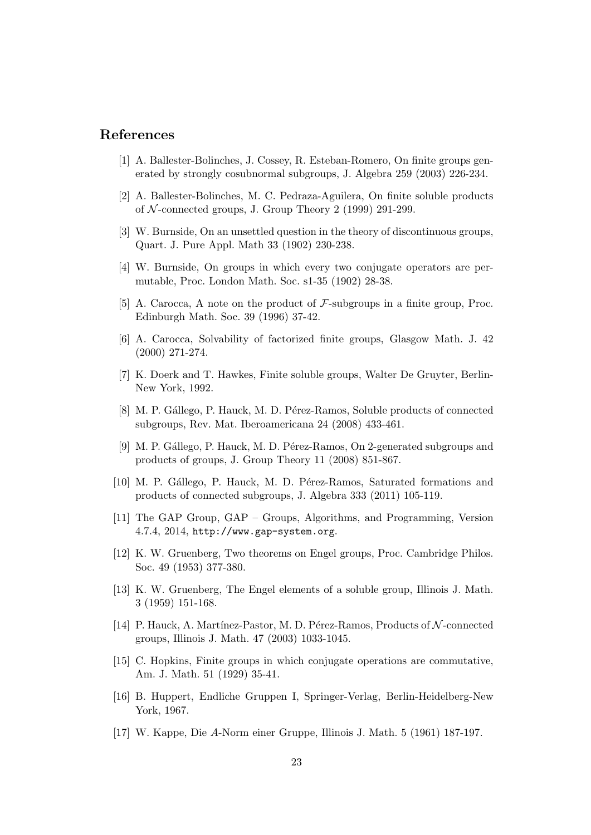#### **References**

- [1] A. Ballester-Bolinches, J. Cossey, R. Esteban-Romero, On finite groups generated by strongly cosubnormal subgroups, J. Algebra 259 (2003) 226-234.
- [2] A. Ballester-Bolinches, M. C. Pedraza-Aguilera, On finite soluble products of *N* -connected groups, J. Group Theory 2 (1999) 291-299.
- [3] W. Burnside, On an unsettled question in the theory of discontinuous groups, Quart. J. Pure Appl. Math 33 (1902) 230-238.
- [4] W. Burnside, On groups in which every two conjugate operators are permutable, Proc. London Math. Soc. s1-35 (1902) 28-38.
- [5] A. Carocca, A note on the product of *F*-subgroups in a finite group, Proc. Edinburgh Math. Soc. 39 (1996) 37-42.
- [6] A. Carocca, Solvability of factorized finite groups, Glasgow Math. J. 42 (2000) 271-274.
- [7] K. Doerk and T. Hawkes, Finite soluble groups, Walter De Gruyter, Berlin-New York, 1992.
- [8] M. P. Gállego, P. Hauck, M. D. Pérez-Ramos, Soluble products of connected subgroups, Rev. Mat. Iberoamericana 24 (2008) 433-461.
- [9] M. P. Gállego, P. Hauck, M. D. Pérez-Ramos, On 2-generated subgroups and products of groups, J. Group Theory 11 (2008) 851-867.
- [10] M. P. Gállego, P. Hauck, M. D. Pérez-Ramos, Saturated formations and products of connected subgroups, J. Algebra 333 (2011) 105-119.
- [11] The GAP Group, GAP Groups, Algorithms, and Programming, Version 4.7.4, 2014, http://www.gap-system.org.
- [12] K. W. Gruenberg, Two theorems on Engel groups, Proc. Cambridge Philos. Soc. 49 (1953) 377-380.
- [13] K. W. Gruenberg, The Engel elements of a soluble group, Illinois J. Math. 3 (1959) 151-168.
- [14] P. Hauck, A. Martínez-Pastor, M. D. Pérez-Ramos, Products of  $N$ -connected groups, Illinois J. Math. 47 (2003) 1033-1045.
- [15] C. Hopkins, Finite groups in which conjugate operations are commutative, Am. J. Math. 51 (1929) 35-41.
- [16] B. Huppert, Endliche Gruppen I, Springer-Verlag, Berlin-Heidelberg-New York, 1967.
- [17] W. Kappe, Die *A*-Norm einer Gruppe, Illinois J. Math. 5 (1961) 187-197.